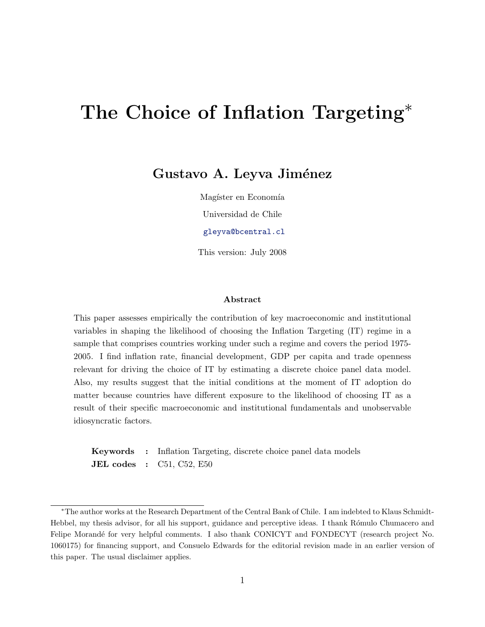# The Choice of Inflation Targeting<sup>∗</sup>

#### Gustavo A. Leyva Jiménez

Magíster en Economía

Universidad de Chile

[gleyva@bcentral.cl](mailto: gleyva@bcentral.cl)

This version: July 2008

#### Abstract

This paper assesses empirically the contribution of key macroeconomic and institutional variables in shaping the likelihood of choosing the Inflation Targeting (IT) regime in a sample that comprises countries working under such a regime and covers the period 1975- 2005. I find inflation rate, financial development, GDP per capita and trade openness relevant for driving the choice of IT by estimating a discrete choice panel data model. Also, my results suggest that the initial conditions at the moment of IT adoption do matter because countries have different exposure to the likelihood of choosing IT as a result of their specific macroeconomic and institutional fundamentals and unobservable idiosyncratic factors.

Keywords : Inflation Targeting, discrete choice panel data models **JEL codes** : C51, C52, E50

<sup>∗</sup>The author works at the Research Department of the Central Bank of Chile. I am indebted to Klaus Schmidt-Hebbel, my thesis advisor, for all his support, guidance and perceptive ideas. I thank Rómulo Chumacero and Felipe Morandé for very helpful comments. I also thank CONICYT and FONDECYT (research project No. 1060175) for financing support, and Consuelo Edwards for the editorial revision made in an earlier version of this paper. The usual disclaimer applies.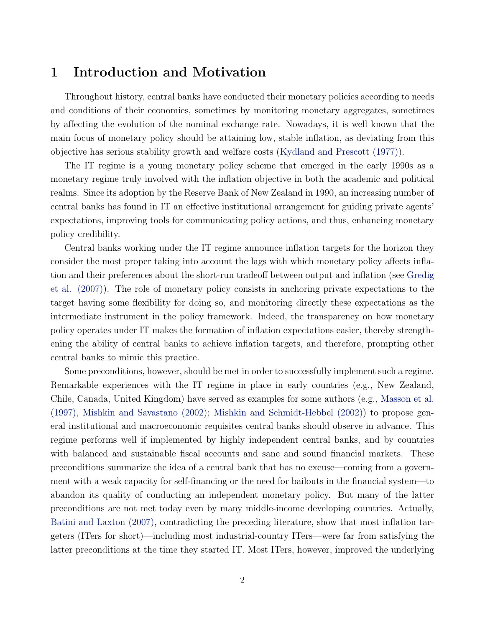#### <span id="page-1-0"></span>1 Introduction and Motivation

Throughout history, central banks have conducted their monetary policies according to needs and conditions of their economies, sometimes by monitoring monetary aggregates, sometimes by affecting the evolution of the nominal exchange rate. Nowadays, it is well known that the main focus of monetary policy should be attaining low, stable inflation, as deviating from this objective has serious stability growth and welfare costs [\(Kydland and Prescott \(1977\)\)](#page-16-0).

The IT regime is a young monetary policy scheme that emerged in the early 1990s as a monetary regime truly involved with the inflation objective in both the academic and political realms. Since its adoption by the Reserve Bank of New Zealand in 1990, an increasing number of central banks has found in IT an effective institutional arrangement for guiding private agents' expectations, improving tools for communicating policy actions, and thus, enhancing monetary policy credibility.

Central banks working under the IT regime announce inflation targets for the horizon they consider the most proper taking into account the lags with which monetary policy affects inflation and their preferences about the short-run tradeoff between output and inflation (see [Gredig](#page-16-0) [et al. \(2007\)\)](#page-16-0). The role of monetary policy consists in anchoring private expectations to the target having some flexibility for doing so, and monitoring directly these expectations as the intermediate instrument in the policy framework. Indeed, the transparency on how monetary policy operates under IT makes the formation of inflation expectations easier, thereby strengthening the ability of central banks to achieve inflation targets, and therefore, prompting other central banks to mimic this practice.

Some preconditions, however, should be met in order to successfully implement such a regime. Remarkable experiences with the IT regime in place in early countries (e.g., New Zealand, Chile, Canada, United Kingdom) have served as examples for some authors (e.g., [Masson et al.](#page-17-0) [\(1997\),](#page-17-0) [Mishkin and Savastano \(2002\);](#page-17-0) [Mishkin and Schmidt-Hebbel \(2002\)\)](#page-17-0) to propose general institutional and macroeconomic requisites central banks should observe in advance. This regime performs well if implemented by highly independent central banks, and by countries with balanced and sustainable fiscal accounts and sane and sound financial markets. These preconditions summarize the idea of a central bank that has no excuse—coming from a government with a weak capacity for self-financing or the need for bailouts in the financial system—to abandon its quality of conducting an independent monetary policy. But many of the latter preconditions are not met today even by many middle-income developing countries. Actually, [Batini and Laxton \(2007\),](#page-15-0) contradicting the preceding literature, show that most inflation targeters (ITers for short)—including most industrial-country ITers—were far from satisfying the latter preconditions at the time they started IT. Most ITers, however, improved the underlying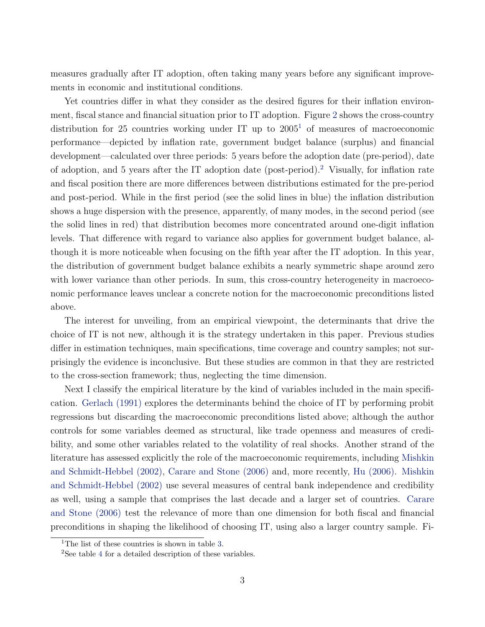<span id="page-2-0"></span>measures gradually after IT adoption, often taking many years before any significant improvements in economic and institutional conditions.

Yet countries differ in what they consider as the desired figures for their inflation environment, fiscal stance and financial situation prior to IT adoption. Figure [2](#page-23-0) shows the cross-country distribution for 25 countries working under IT up to  $2005<sup>1</sup>$  of measures of macroeconomic performance—depicted by inflation rate, government budget balance (surplus) and financial development—calculated over three periods: 5 years before the adoption date (pre-period), date of adoption, and 5 years after the IT adoption date (post-period).<sup>2</sup> Visually, for inflation rate and fiscal position there are more differences between distributions estimated for the pre-period and post-period. While in the first period (see the solid lines in blue) the inflation distribution shows a huge dispersion with the presence, apparently, of many modes, in the second period (see the solid lines in red) that distribution becomes more concentrated around one-digit inflation levels. That difference with regard to variance also applies for government budget balance, although it is more noticeable when focusing on the fifth year after the IT adoption. In this year, the distribution of government budget balance exhibits a nearly symmetric shape around zero with lower variance than other periods. In sum, this cross-country heterogeneity in macroeconomic performance leaves unclear a concrete notion for the macroeconomic preconditions listed above.

The interest for unveiling, from an empirical viewpoint, the determinants that drive the choice of IT is not new, although it is the strategy undertaken in this paper. Previous studies differ in estimation techniques, main specifications, time coverage and country samples; not surprisingly the evidence is inconclusive. But these studies are common in that they are restricted to the cross-section framework; thus, neglecting the time dimension.

Next I classify the empirical literature by the kind of variables included in the main specification. [Gerlach \(1991\)](#page-16-0) explores the determinants behind the choice of IT by performing probit regressions but discarding the macroeconomic preconditions listed above; although the author controls for some variables deemed as structural, like trade openness and measures of credibility, and some other variables related to the volatility of real shocks. Another strand of the literature has assessed explicitly the role of the macroeconomic requirements, including [Mishkin](#page-17-0) [and Schmidt-Hebbel \(2002\),](#page-17-0) [Carare and Stone \(2006\)](#page-15-0) and, more recently, [Hu \(2006\).](#page-16-0) [Mishkin](#page-17-0) [and Schmidt-Hebbel \(2002\)](#page-17-0) use several measures of central bank independence and credibility as well, using a sample that comprises the last decade and a larger set of countries. [Carare](#page-15-0) [and Stone \(2006\)](#page-15-0) test the relevance of more than one dimension for both fiscal and financial preconditions in shaping the likelihood of choosing IT, using also a larger country sample. Fi-

<sup>&</sup>lt;sup>1</sup>The list of these countries is shown in table [3.](#page-29-0)

<sup>2</sup>See table [4](#page-30-0) for a detailed description of these variables.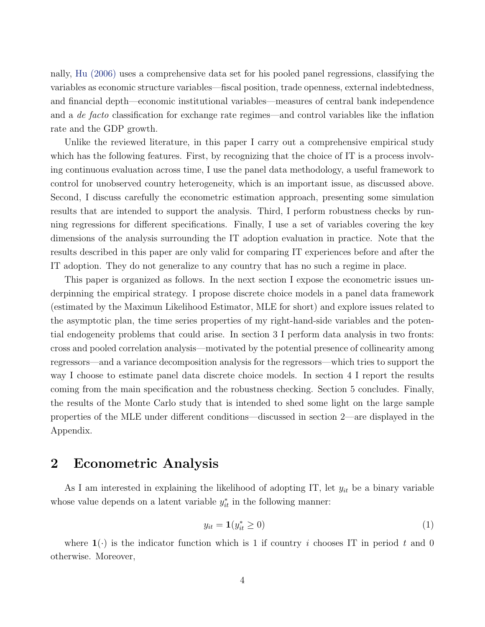<span id="page-3-0"></span>nally, [Hu \(2006\)](#page-16-0) uses a comprehensive data set for his pooled panel regressions, classifying the variables as economic structure variables—fiscal position, trade openness, external indebtedness, and financial depth—economic institutional variables—measures of central bank independence and a de facto classification for exchange rate regimes—and control variables like the inflation rate and the GDP growth.

Unlike the reviewed literature, in this paper I carry out a comprehensive empirical study which has the following features. First, by recognizing that the choice of IT is a process involving continuous evaluation across time, I use the panel data methodology, a useful framework to control for unobserved country heterogeneity, which is an important issue, as discussed above. Second, I discuss carefully the econometric estimation approach, presenting some simulation results that are intended to support the analysis. Third, I perform robustness checks by running regressions for different specifications. Finally, I use a set of variables covering the key dimensions of the analysis surrounding the IT adoption evaluation in practice. Note that the results described in this paper are only valid for comparing IT experiences before and after the IT adoption. They do not generalize to any country that has no such a regime in place.

This paper is organized as follows. In the next section I expose the econometric issues underpinning the empirical strategy. I propose discrete choice models in a panel data framework (estimated by the Maximun Likelihood Estimator, MLE for short) and explore issues related to the asymptotic plan, the time series properties of my right-hand-side variables and the potential endogeneity problems that could arise. In section 3 I perform data analysis in two fronts: cross and pooled correlation analysis—motivated by the potential presence of collinearity among regressors—and a variance decomposition analysis for the regressors—which tries to support the way I choose to estimate panel data discrete choice models. In section 4 I report the results coming from the main specification and the robustness checking. Section 5 concludes. Finally, the results of the Monte Carlo study that is intended to shed some light on the large sample properties of the MLE under different conditions—discussed in section 2—are displayed in the Appendix.

#### 2 Econometric Analysis

As I am interested in explaining the likelihood of adopting IT, let  $y_{it}$  be a binary variable whose value depends on a latent variable  $y_{it}^*$  in the following manner:

$$
y_{it} = \mathbf{1}(y_{it}^* \ge 0) \tag{1}
$$

where  $\mathbf{1}(\cdot)$  is the indicator function which is 1 if country i chooses IT in period t and 0 otherwise. Moreover,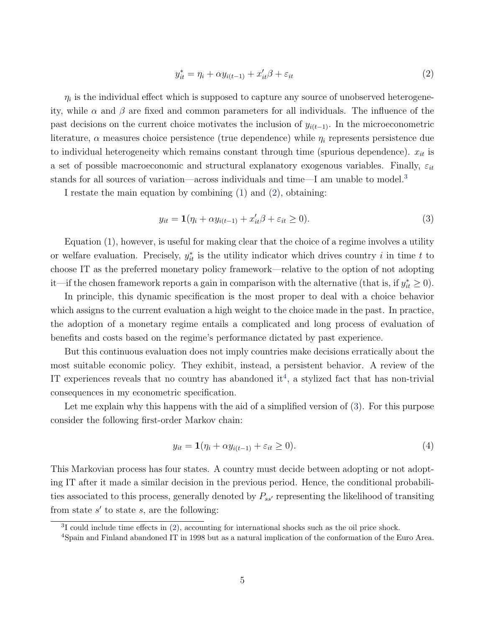$$
y_{it}^* = \eta_i + \alpha y_{i(t-1)} + x_{it}'\beta + \varepsilon_{it}
$$
\n<sup>(2)</sup>

<span id="page-4-0"></span> $\eta_i$  is the individual effect which is supposed to capture any source of unobserved heterogeneity, while  $\alpha$  and  $\beta$  are fixed and common parameters for all individuals. The influence of the past decisions on the current choice motivates the inclusion of  $y_{i(t-1)}$ . In the microeconometric literature,  $\alpha$  measures choice persistence (true dependence) while  $\eta_i$  represents persistence due to individual heterogeneity which remains constant through time (spurious dependence).  $x_{it}$  is a set of possible macroeconomic and structural explanatory exogenous variables. Finally,  $\varepsilon_{it}$ stands for all sources of variation—across individuals and time—I am unable to model.<sup>3</sup>

I restate the main equation by combining [\(1\)](#page-3-0) and (2), obtaining:

$$
y_{it} = \mathbf{1}(\eta_i + \alpha y_{i(t-1)} + x_{it}'\beta + \varepsilon_{it} \ge 0). \tag{3}
$$

Equation (1), however, is useful for making clear that the choice of a regime involves a utility or welfare evaluation. Precisely,  $y_{it}^*$  is the utility indicator which drives country i in time t to choose IT as the preferred monetary policy framework—relative to the option of not adopting it—if the chosen framework reports a gain in comparison with the alternative (that is, if  $y_{it}^* \geq 0$ ).

In principle, this dynamic specification is the most proper to deal with a choice behavior which assigns to the current evaluation a high weight to the choice made in the past. In practice, the adoption of a monetary regime entails a complicated and long process of evaluation of benefits and costs based on the regime's performance dictated by past experience.

But this continuous evaluation does not imply countries make decisions erratically about the most suitable economic policy. They exhibit, instead, a persistent behavior. A review of the IT experiences reveals that no country has abandoned it<sup>4</sup>, a stylized fact that has non-trivial consequences in my econometric specification.

Let me explain why this happens with the aid of a simplified version of  $(3)$ . For this purpose consider the following first-order Markov chain:

$$
y_{it} = \mathbf{1}(\eta_i + \alpha y_{i(t-1)} + \varepsilon_{it} \ge 0). \tag{4}
$$

This Markovian process has four states. A country must decide between adopting or not adopting IT after it made a similar decision in the previous period. Hence, the conditional probabilities associated to this process, generally denoted by  $P_{ss'}$  representing the likelihood of transiting from state  $s'$  to state  $s$ , are the following:

<sup>&</sup>lt;sup>3</sup>I could include time effects in (2), accounting for international shocks such as the oil price shock.

<sup>4</sup>Spain and Finland abandoned IT in 1998 but as a natural implication of the conformation of the Euro Area.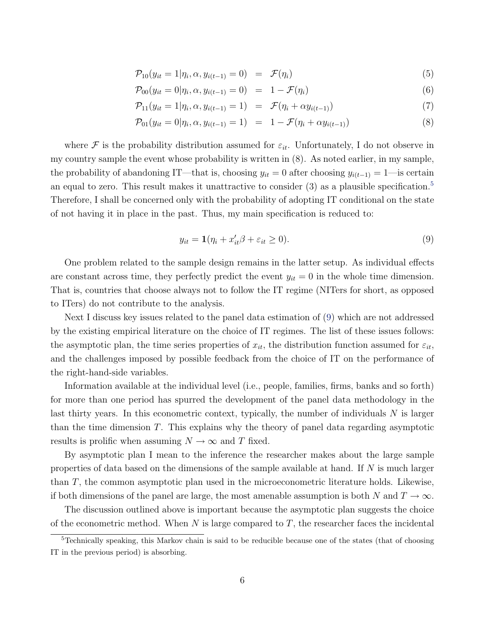$$
\mathcal{P}_{10}(y_{it}=1|\eta_i,\alpha,y_{i(t-1)}=0) = \mathcal{F}(\eta_i)
$$
\n
$$
(5)
$$

$$
\mathcal{P}_{00}(y_{it} = 0 | \eta_i, \alpha, y_{i(t-1)} = 0) = 1 - \mathcal{F}(\eta_i)
$$
\n(6)

$$
\mathcal{P}_{11}(y_{it} = 1 | \eta_i, \alpha, y_{i(t-1)} = 1) = \mathcal{F}(\eta_i + \alpha y_{i(t-1)})
$$
\n(7)

$$
\mathcal{P}_{01}(y_{it} = 0 | \eta_i, \alpha, y_{i(t-1)} = 1) = 1 - \mathcal{F}(\eta_i + \alpha y_{i(t-1)})
$$
\n(8)

<span id="page-5-0"></span>where F is the probability distribution assumed for  $\varepsilon_{it}$ . Unfortunately, I do not observe in my country sample the event whose probability is written in (8). As noted earlier, in my sample, the probability of abandoning IT—that is, choosing  $y_{it} = 0$  after choosing  $y_{i(t-1)} = 1$ —is certain an equal to zero. This result makes it unattractive to consider  $(3)$  as a plausible specification.<sup>5</sup> Therefore, I shall be concerned only with the probability of adopting IT conditional on the state of not having it in place in the past. Thus, my main specification is reduced to:

$$
y_{it} = \mathbf{1}(\eta_i + x_{it}'\beta + \varepsilon_{it} \ge 0). \tag{9}
$$

One problem related to the sample design remains in the latter setup. As individual effects are constant across time, they perfectly predict the event  $y_{it} = 0$  in the whole time dimension. That is, countries that choose always not to follow the IT regime (NITers for short, as opposed to ITers) do not contribute to the analysis.

Next I discuss key issues related to the panel data estimation of (9) which are not addressed by the existing empirical literature on the choice of IT regimes. The list of these issues follows: the asymptotic plan, the time series properties of  $x_{it}$ , the distribution function assumed for  $\varepsilon_{it}$ , and the challenges imposed by possible feedback from the choice of IT on the performance of the right-hand-side variables.

Information available at the individual level (i.e., people, families, firms, banks and so forth) for more than one period has spurred the development of the panel data methodology in the last thirty years. In this econometric context, typically, the number of individuals N is larger than the time dimension T. This explains why the theory of panel data regarding asymptotic results is prolific when assuming  $N \to \infty$  and T fixed.

By asymptotic plan I mean to the inference the researcher makes about the large sample properties of data based on the dimensions of the sample available at hand. If  $N$  is much larger than T, the common asymptotic plan used in the microeconometric literature holds. Likewise, if both dimensions of the panel are large, the most amenable assumption is both N and  $T \to \infty$ .

The discussion outlined above is important because the asymptotic plan suggests the choice of the econometric method. When  $N$  is large compared to  $T$ , the researcher faces the incidental

<sup>&</sup>lt;sup>5</sup>Technically speaking, this Markov chain is said to be reducible because one of the states (that of choosing IT in the previous period) is absorbing.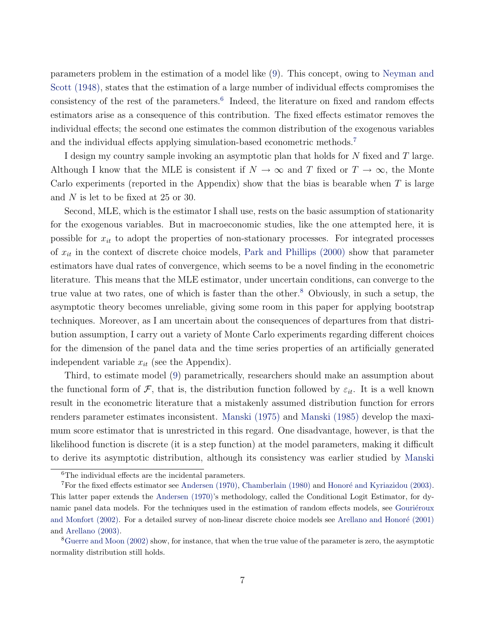<span id="page-6-0"></span>parameters problem in the estimation of a model like [\(9\)](#page-5-0). This concept, owing to [Neyman and](#page-17-0) [Scott \(1948\),](#page-17-0) states that the estimation of a large number of individual effects compromises the consistency of the rest of the parameters.<sup>6</sup> Indeed, the literature on fixed and random effects estimators arise as a consequence of this contribution. The fixed effects estimator removes the individual effects; the second one estimates the common distribution of the exogenous variables and the individual effects applying simulation-based econometric methods.<sup>7</sup>

I design my country sample invoking an asymptotic plan that holds for N fixed and T large. Although I know that the MLE is consistent if  $N \to \infty$  and T fixed or  $T \to \infty$ , the Monte Carlo experiments (reported in the Appendix) show that the bias is bearable when  $T$  is large and N is let to be fixed at 25 or 30.

Second, MLE, which is the estimator I shall use, rests on the basic assumption of stationarity for the exogenous variables. But in macroeconomic studies, like the one attempted here, it is possible for  $x_{it}$  to adopt the properties of non-stationary processes. For integrated processes of  $x_{it}$  in the context of discrete choice models, [Park and Phillips \(2000\)](#page-17-0) show that parameter estimators have dual rates of convergence, which seems to be a novel finding in the econometric literature. This means that the MLE estimator, under uncertain conditions, can converge to the true value at two rates, one of which is faster than the other.<sup>8</sup> Obviously, in such a setup, the asymptotic theory becomes unreliable, giving some room in this paper for applying bootstrap techniques. Moreover, as I am uncertain about the consequences of departures from that distribution assumption, I carry out a variety of Monte Carlo experiments regarding different choices for the dimension of the panel data and the time series properties of an artificially generated independent variable  $x_{it}$  (see the Appendix).

Third, to estimate model [\(9\)](#page-5-0) parametrically, researchers should make an assumption about the functional form of F, that is, the distribution function followed by  $\varepsilon_{it}$ . It is a well known result in the econometric literature that a mistakenly assumed distribution function for errors renders parameter estimates inconsistent. [Manski \(1975\)](#page-16-0) and [Manski \(1985\)](#page-17-0) develop the maximum score estimator that is unrestricted in this regard. One disadvantage, however, is that the likelihood function is discrete (it is a step function) at the model parameters, making it difficult to derive its asymptotic distribution, although its consistency was earlier studied by [Manski](#page-17-0)

<sup>&</sup>lt;sup>6</sup>[The individual effects are the incidental parameters.](#page-17-0)

 $7$ [For the fixed effects estimator see](#page-17-0) Andersen (1970), [Chamberlain \(1980\)](#page-15-0) and Honoré and Kyriazidou (2003). This latter paper extends the [Andersen \(1970\)'](#page-15-0)s methodology, called the Conditional Logit Estimator, for dynamic panel data models. For the techniques used in the estimation of random effects models, see Gouriéroux [and Monfort \(2002\).](#page-16-0) For a detailed survey of non-linear discrete choice models see Arellano and Honoré (2001) and [Arellano \(2003\).](#page-15-0)

<sup>&</sup>lt;sup>8</sup>[Guerre and Moon \(2002\)](#page-16-0) show, for instance, that when the true value of the parameter is zero, the asymptotic normality distribution still holds.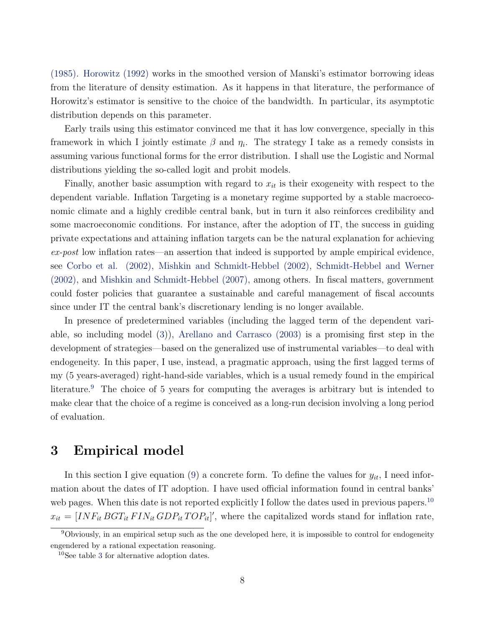<span id="page-7-0"></span>(1985). [Horowitz \(1992\)](#page-16-0) works in the smoothed version of Manski's estimator borrowing ideas from the literature of density estimation. As it happens in that literature, the performance of Horowitz's estimator is sensitive to the choice of the bandwidth. In particular, its asymptotic distribution depends on this parameter.

Early trails using this estimator convinced me that it has low convergence, specially in this framework in which I jointly estimate  $\beta$  and  $\eta_i$ . The strategy I take as a remedy consists in assuming various functional forms for the error distribution. I shall use the Logistic and Normal distributions yielding the so-called logit and probit models.

Finally, another basic assumption with regard to  $x_{it}$  is their exogeneity with respect to the dependent variable. Inflation Targeting is a monetary regime supported by a stable macroeconomic climate and a highly credible central bank, but in turn it also reinforces credibility and some macroeconomic conditions. For instance, after the adoption of IT, the success in guiding private expectations and attaining inflation targets can be the natural explanation for achieving  $ex\text{-}post$  low inflation rates—an assertion that indeed is supported by ample empirical evidence, see [Corbo et al. \(2002\),](#page-15-0) [Mishkin and Schmidt-Hebbel \(2002\),](#page-17-0) [Schmidt-Hebbel and Werner](#page-17-0) [\(2002\),](#page-17-0) and [Mishkin and Schmidt-Hebbel \(2007\),](#page-17-0) among others. In fiscal matters, government could foster policies that guarantee a sustainable and careful management of fiscal accounts since under IT the central bank's discretionary lending is no longer available.

In presence of predetermined variables (including the lagged term of the dependent variable, so including model [\(3\)](#page-4-0)), [Arellano and Carrasco \(2003\)](#page-15-0) is a promising first step in the development of strategies—based on the generalized use of instrumental variables—to deal with endogeneity. In this paper, I use, instead, a pragmatic approach, using the first lagged terms of my (5 years-averaged) right-hand-side variables, which is a usual remedy found in the empirical literature.<sup>9</sup> The choice of 5 years for computing the averages is arbitrary but is intended to make clear that the choice of a regime is conceived as a long-run decision involving a long period of evaluation.

#### 3 Empirical model

In this section I give equation [\(9\)](#page-5-0) a concrete form. To define the values for  $y_{it}$ , I need information about the dates of IT adoption. I have used official information found in central banks' web pages. When this date is not reported explicitly I follow the dates used in previous papers.<sup>10</sup>  $x_{it} = [INF_{it} BGT_{it} FIN_{it} GDP_{it} TOP_{it}]'$ , where the capitalized words stand for inflation rate,

<sup>&</sup>lt;sup>9</sup>Obviously, in an empirical setup such as the one developed here, it is impossible to control for endogeneity engendered by a rational expectation reasoning.

<sup>10</sup>See table [3](#page-29-0) for alternative adoption dates.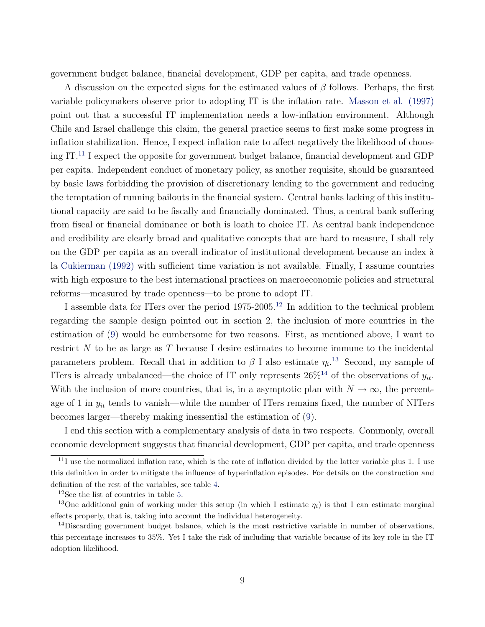<span id="page-8-0"></span>government budget balance, financial development, GDP per capita, and trade openness.

A discussion on the expected signs for the estimated values of  $\beta$  follows. Perhaps, the first variable policymakers observe prior to adopting IT is the inflation rate. [Masson et al. \(1997\)](#page-17-0) point out that a successful IT implementation needs a low-inflation environment. Although Chile and Israel challenge this claim, the general practice seems to first make some progress in inflation stabilization. Hence, I expect inflation rate to affect negatively the likelihood of choosing IT.<sup>11</sup> I expect the opposite for government budget balance, financial development and GDP per capita. Independent conduct of monetary policy, as another requisite, should be guaranteed by basic laws forbidding the provision of discretionary lending to the government and reducing the temptation of running bailouts in the financial system. Central banks lacking of this institutional capacity are said to be fiscally and financially dominated. Thus, a central bank suffering from fiscal or financial dominance or both is loath to choice IT. As central bank independence and credibility are clearly broad and qualitative concepts that are hard to measure, I shall rely on the GDP per capita as an overall indicator of institutional development because an index à la [Cukierman \(1992\)](#page-15-0) with sufficient time variation is not available. Finally, I assume countries with high exposure to the best international practices on macroeconomic policies and structural reforms—measured by trade openness—to be prone to adopt IT.

I assemble data for ITers over the period 1975-2005.<sup>12</sup> In addition to the technical problem regarding the sample design pointed out in section 2, the inclusion of more countries in the estimation of [\(9\)](#page-5-0) would be cumbersome for two reasons. First, as mentioned above, I want to restrict N to be as large as T because I desire estimates to become immune to the incidental parameters problem. Recall that in addition to  $\beta$  I also estimate  $\eta_i$ <sup>13</sup> Second, my sample of ITers is already unbalanced—the choice of IT only represents  $26\%^{14}$  of the observations of  $y_{it}$ . With the inclusion of more countries, that is, in a asymptotic plan with  $N \to \infty$ , the percentage of 1 in  $y_{it}$  tends to vanish—while the number of ITers remains fixed, the number of NITers becomes larger—thereby making inessential the estimation of [\(9\)](#page-5-0).

I end this section with a complementary analysis of data in two respects. Commonly, overall economic development suggests that financial development, GDP per capita, and trade openness

 $11$ I use the normalized inflation rate, which is the rate of inflation divided by the latter variable plus 1. I use this definition in order to mitigate the influence of hyperinflation episodes. For details on the construction and definition of the rest of the variables, see table [4.](#page-30-0)

<sup>12</sup>See the list of countries in table [5.](#page-30-0)

<sup>&</sup>lt;sup>13</sup>One additional gain of working under this setup (in which I estimate  $\eta_i$ ) is that I can estimate marginal effects properly, that is, taking into account the individual heterogeneity.

 $14$ Discarding government budget balance, which is the most restrictive variable in number of observations, this percentage increases to 35%. Yet I take the risk of including that variable because of its key role in the IT adoption likelihood.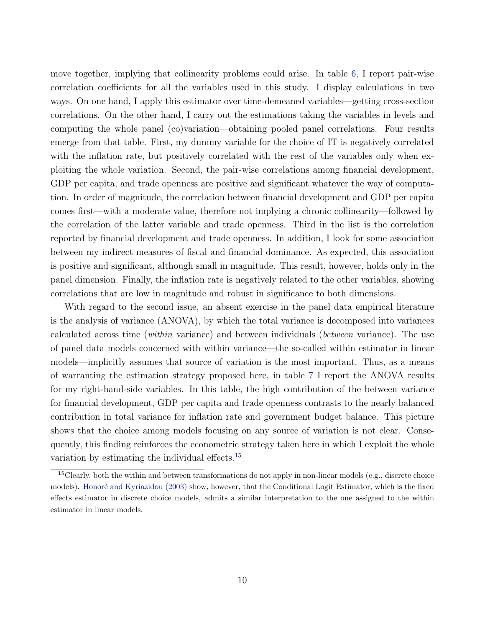<span id="page-9-0"></span>move together, implying that collinearity problems could arise. In table [6,](#page-31-0) I report pair-wise correlation coefficients for all the variables used in this study. I display calculations in two ways. On one hand, I apply this estimator over time-demeaned variables—getting cross-section correlations. On the other hand, I carry out the estimations taking the variables in levels and computing the whole panel (co)variation—obtaining pooled panel correlations. Four results emerge from that table. First, my dummy variable for the choice of IT is negatively correlated with the inflation rate, but positively correlated with the rest of the variables only when exploiting the whole variation. Second, the pair-wise correlations among financial development, GDP per capita, and trade openness are positive and significant whatever the way of computation. In order of magnitude, the correlation between financial development and GDP per capita comes first—with a moderate value, therefore not implying a chronic collinearity—followed by the correlation of the latter variable and trade openness. Third in the list is the correlation reported by financial development and trade openness. In addition, I look for some association between my indirect measures of fiscal and financial dominance. As expected, this association is positive and significant, although small in magnitude. This result, however, holds only in the panel dimension. Finally, the inflation rate is negatively related to the other variables, showing correlations that are low in magnitude and robust in significance to both dimensions.

With regard to the second issue, an absent exercise in the panel data empirical literature is the analysis of variance (ANOVA), by which the total variance is decomposed into variances calculated across time (within variance) and between individuals (between variance). The use of panel data models concerned with within variance—the so-called within estimator in linear models—implicitly assumes that source of variation is the most important. Thus, as a means of warranting the estimation strategy proposed here, in table [7](#page-31-0) I report the ANOVA results for my right-hand-side variables. In this table, the high contribution of the between variance for financial development, GDP per capita and trade openness contrasts to the nearly balanced contribution in total variance for inflation rate and government budget balance. This picture shows that the choice among models focusing on any source of variation is not clear. Consequently, this finding reinforces the econometric strategy taken here in which I exploit the whole variation by estimating the individual effects.<sup>15</sup>

<sup>&</sup>lt;sup>15</sup>Clearly, both the within and between transformations do not apply in non-linear models (e.g., discrete choice models). Honoré and Kyriazidou (2003) show, however, that the Conditional Logit Estimator, which is the fixed effects estimator in discrete choice models, admits a similar interpretation to the one assigned to the within estimator in linear models.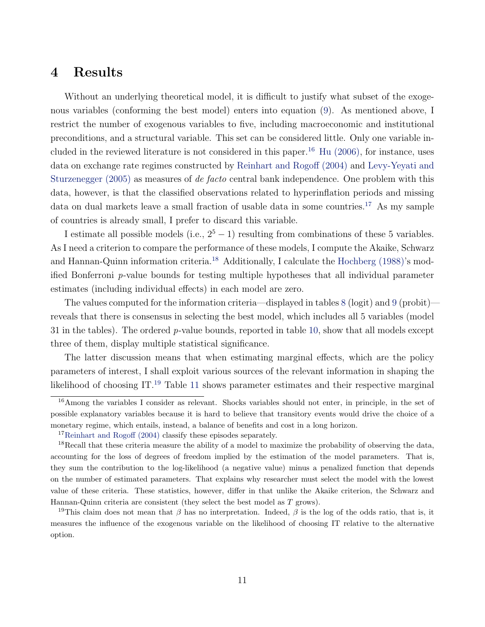## <span id="page-10-0"></span>4 Results

Without an underlying theoretical model, it is difficult to justify what subset of the exogenous variables (conforming the best model) enters into equation [\(9\)](#page-5-0). As mentioned above, I restrict the number of exogenous variables to five, including macroeconomic and institutional preconditions, and a structural variable. This set can be considered little. Only one variable included in the reviewed literature is not considered in this paper.<sup>16</sup> Hu  $(2006)$ , for instance, uses data on exchange rate regimes constructed by [Reinhart and Rogoff \(2004\)](#page-17-0) and [Levy-Yeyati and](#page-16-0) [Sturzenegger \(2005\)](#page-16-0) as measures of de facto central bank independence. One problem with this data, however, is that the classified observations related to hyperinflation periods and missing data on dual markets leave a small fraction of usable data in some countries.<sup>17</sup> As my sample of countries is already small, I prefer to discard this variable.

I estimate all possible models (i.e.,  $2^5 - 1$ ) resulting from combinations of these 5 variables. As I need a criterion to compare the performance of these models, I compute the Akaike, Schwarz and Hannan-Quinn information criteria.<sup>18</sup> Additionally, I calculate the [Hochberg \(1988\)'](#page-16-0)s modified Bonferroni p-value bounds for testing multiple hypotheses that all individual parameter estimates (including individual effects) in each model are zero.

The values computed for the information criteria—displayed in tables [8](#page-31-0) (logit) and [9](#page-32-0) (probit) reveals that there is consensus in selecting the best model, which includes all 5 variables (model 31 in the tables). The ordered  $p$ -value bounds, reported in table [10,](#page-32-0) show that all models except three of them, display multiple statistical significance.

The latter discussion means that when estimating marginal effects, which are the policy parameters of interest, I shall exploit various sources of the relevant information in shaping the likelihood of choosing IT.<sup>19</sup> Table [11](#page-33-0) shows parameter estimates and their respective marginal

<sup>&</sup>lt;sup>16</sup>Among the variables I consider as relevant. Shocks variables should not enter, in principle, in the set of possible explanatory variables because it is hard to believe that transitory events would drive the choice of a monetary regime, which entails, instead, a balance of benefits and cost in a long horizon.

<sup>&</sup>lt;sup>17</sup>[Reinhart and Rogoff \(2004\)](#page-17-0) classify these episodes separately.

<sup>&</sup>lt;sup>18</sup>Recall that these criteria measure the ability of a model to maximize the probability of observing the data, accounting for the loss of degrees of freedom implied by the estimation of the model parameters. That is, they sum the contribution to the log-likelihood (a negative value) minus a penalized function that depends on the number of estimated parameters. That explains why researcher must select the model with the lowest value of these criteria. These statistics, however, differ in that unlike the Akaike criterion, the Schwarz and Hannan-Quinn criteria are consistent (they select the best model as T grows).

<sup>&</sup>lt;sup>19</sup>This claim does not mean that  $\beta$  has no interpretation. Indeed,  $\beta$  is the log of the odds ratio, that is, it measures the influence of the exogenous variable on the likelihood of choosing IT relative to the alternative option.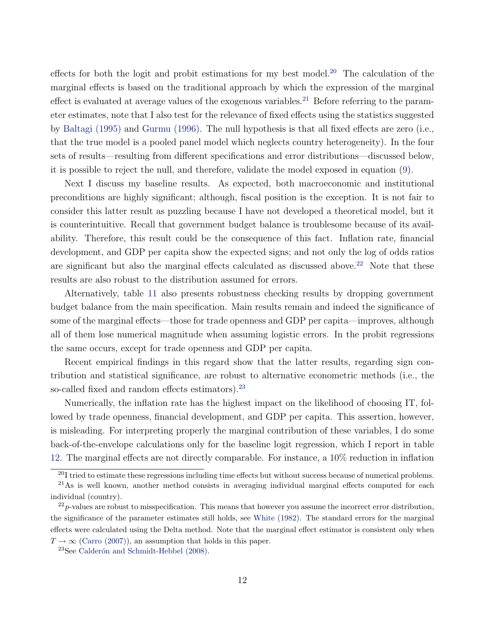<span id="page-11-0"></span>effects for both the logit and probit estimations for my best model.<sup>20</sup> The calculation of the marginal effects is based on the traditional approach by which the expression of the marginal effect is evaluated at average values of the exogenous variables.<sup>21</sup> Before referring to the parameter estimates, note that I also test for the relevance of fixed effects using the statistics suggested by [Baltagi \(1995\)](#page-15-0) and [Gurmu \(1996\).](#page-16-0) The null hypothesis is that all fixed effects are zero (i.e., that the true model is a pooled panel model which neglects country heterogeneity). In the four sets of results—resulting from different specifications and error distributions—discussed below, it is possible to reject the null, and therefore, validate the model exposed in equation [\(9\)](#page-5-0).

Next I discuss my baseline results. As expected, both macroeconomic and institutional preconditions are highly significant; although, fiscal position is the exception. It is not fair to consider this latter result as puzzling because I have not developed a theoretical model, but it is counterintuitive. Recall that government budget balance is troublesome because of its availability. Therefore, this result could be the consequence of this fact. Inflation rate, financial development, and GDP per capita show the expected signs; and not only the log of odds ratios are significant but also the marginal effects calculated as discussed above.<sup>22</sup> Note that these results are also robust to the distribution assumed for errors.

Alternatively, table [11](#page-33-0) also presents robustness checking results by dropping government budget balance from the main specification. Main results remain and indeed the significance of some of the marginal effects—those for trade openness and GDP per capita—improves, although all of them lose numerical magnitude when assuming logistic errors. In the probit regressions the same occurs, except for trade openness and GDP per capita.

Recent empirical findings in this regard show that the latter results, regarding sign contribution and statistical significance, are robust to alternative econometric methods (i.e., the so-called fixed and random effects estimators).<sup>23</sup>

Numerically, the inflation rate has the highest impact on the likelihood of choosing IT, followed by trade openness, financial development, and GDP per capita. This assertion, however, is misleading. For interpreting properly the marginal contribution of these variables, I do some back-of-the-envelope calculations only for the baseline logit regression, which I report in table [12.](#page-34-0) The marginal effects are not directly comparable. For instance, a 10% reduction in inflation

 $20I$  tried to estimate these regressions including time effects but without success because of numerical problems.

<sup>&</sup>lt;sup>21</sup>As is well known, another method consists in averaging individual marginal effects computed for each individual (country).

 $^{22}p$ -values are robust to misspecification. This means that however you assume the incorrect error distribution, the significance of the parameter estimates still holds, see [White \(1982\).](#page-17-0) The standard errors for the marginal effects were calculated using the Delta method. Note that the marginal effect estimator is consistent only when  $T \rightarrow \infty$  [\(Carro \(2007\)\)](#page-15-0), an assumption that holds in this paper.

 $23$ See Calderón and Schmidt-Hebbel (2008).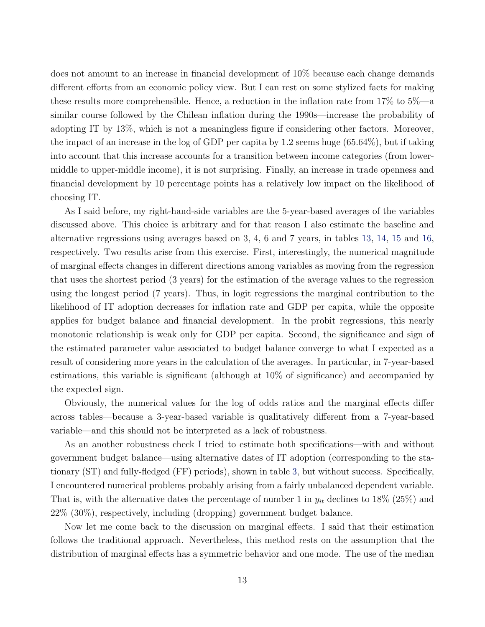does not amount to an increase in financial development of 10% because each change demands different efforts from an economic policy view. But I can rest on some stylized facts for making these results more comprehensible. Hence, a reduction in the inflation rate from 17% to 5%—a similar course followed by the Chilean inflation during the 1990s—increase the probability of adopting IT by 13%, which is not a meaningless figure if considering other factors. Moreover, the impact of an increase in the log of GDP per capita by 1.2 seems huge (65.64%), but if taking into account that this increase accounts for a transition between income categories (from lowermiddle to upper-middle income), it is not surprising. Finally, an increase in trade openness and financial development by 10 percentage points has a relatively low impact on the likelihood of choosing IT.

As I said before, my right-hand-side variables are the 5-year-based averages of the variables discussed above. This choice is arbitrary and for that reason I also estimate the baseline and alternative regressions using averages based on 3, 4, 6 and 7 years, in tables [13,](#page-35-0) [14,](#page-36-0) [15](#page-37-0) and [16,](#page-38-0) respectively. Two results arise from this exercise. First, interestingly, the numerical magnitude of marginal effects changes in different directions among variables as moving from the regression that uses the shortest period (3 years) for the estimation of the average values to the regression using the longest period (7 years). Thus, in logit regressions the marginal contribution to the likelihood of IT adoption decreases for inflation rate and GDP per capita, while the opposite applies for budget balance and financial development. In the probit regressions, this nearly monotonic relationship is weak only for GDP per capita. Second, the significance and sign of the estimated parameter value associated to budget balance converge to what I expected as a result of considering more years in the calculation of the averages. In particular, in 7-year-based estimations, this variable is significant (although at 10% of significance) and accompanied by the expected sign.

Obviously, the numerical values for the log of odds ratios and the marginal effects differ across tables—because a 3-year-based variable is qualitatively different from a 7-year-based variable—and this should not be interpreted as a lack of robustness.

As an another robustness check I tried to estimate both specifications—with and without government budget balance—using alternative dates of IT adoption (corresponding to the stationary (ST) and fully-fledged (FF) periods), shown in table [3,](#page-29-0) but without success. Specifically, I encountered numerical problems probably arising from a fairly unbalanced dependent variable. That is, with the alternative dates the percentage of number 1 in  $y_{it}$  declines to 18% (25%) and 22% (30%), respectively, including (dropping) government budget balance.

Now let me come back to the discussion on marginal effects. I said that their estimation follows the traditional approach. Nevertheless, this method rests on the assumption that the distribution of marginal effects has a symmetric behavior and one mode. The use of the median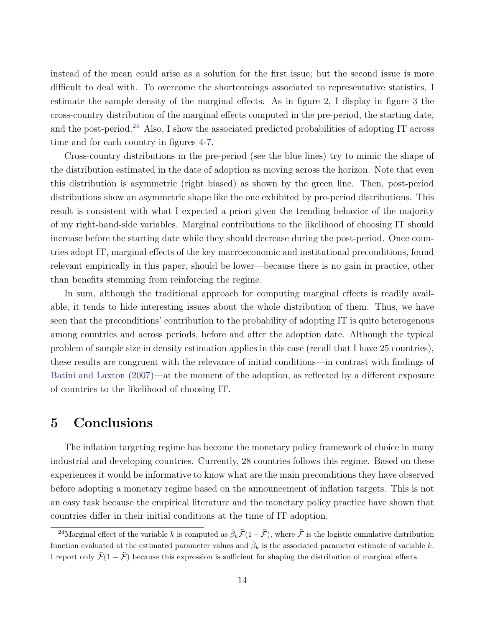<span id="page-13-0"></span>instead of the mean could arise as a solution for the first issue; but the second issue is more difficult to deal with. To overcome the shortcomings associated to representative statistics, I estimate the sample density of the marginal effects. As in figure [2,](#page-23-0) I display in figure [3](#page-24-0) the cross-country distribution of the marginal effects computed in the pre-period, the starting date, and the post-period.<sup>24</sup> Also, I show the associated predicted probabilities of adopting IT across time and for each country in figures [4-](#page-25-0)[7.](#page-28-0)

Cross-country distributions in the pre-period (see the blue lines) try to mimic the shape of the distribution estimated in the date of adoption as moving across the horizon. Note that even this distribution is asymmetric (right biased) as shown by the green line. Then, post-period distributions show an asymmetric shape like the one exhibited by pre-period distributions. This result is consistent with what I expected a priori given the trending behavior of the majority of my right-hand-side variables. Marginal contributions to the likelihood of choosing IT should increase before the starting date while they should decrease during the post-period. Once countries adopt IT, marginal effects of the key macroeconomic and institutional preconditions, found relevant empirically in this paper, should be lower—because there is no gain in practice, other than benefits stemming from reinforcing the regime.

In sum, although the traditional approach for computing marginal effects is readily available, it tends to hide interesting issues about the whole distribution of them. Thus, we have seen that the preconditions' contribution to the probability of adopting IT is quite heterogenous among countries and across periods, before and after the adoption date. Although the typical problem of sample size in density estimation applies in this case (recall that I have 25 countries), these results are congruent with the relevance of initial conditions—in contrast with findings of [Batini and Laxton \(2007\)—](#page-15-0)at the moment of the adoption, as reflected by a different exposure of countries to the likelihood of choosing IT.

#### 5 Conclusions

The inflation targeting regime has become the monetary policy framework of choice in many industrial and developing countries. Currently, 28 countries follows this regime. Based on these experiences it would be informative to know what are the main preconditions they have observed before adopting a monetary regime based on the announcement of inflation targets. This is not an easy task because the empirical literature and the monetary policy practice have shown that countries differ in their initial conditions at the time of IT adoption.

<sup>&</sup>lt;sup>24</sup>Marginal effect of the variable k is computed as  $\hat{\beta}_k\hat{\mathcal{F}}(1-\hat{\mathcal{F}})$ , where  $\hat{\mathcal{F}}$  is the logistic cumulative distribution function evaluated at the estimated parameter values and  $\hat{\beta}_k$  is the associated parameter estimate of variable k. I report only  $\widehat{\mathcal{F}}(1 - \widehat{\mathcal{F}})$  because this expression is sufficient for shaping the distribution of marginal effects.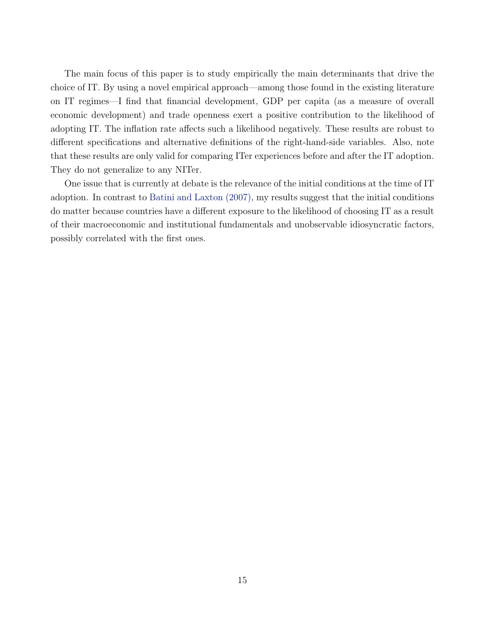<span id="page-14-0"></span>The main focus of this paper is to study empirically the main determinants that drive the choice of IT. By using a novel empirical approach—among those found in the existing literature on IT regimes—I find that financial development, GDP per capita (as a measure of overall economic development) and trade openness exert a positive contribution to the likelihood of adopting IT. The inflation rate affects such a likelihood negatively. These results are robust to different specifications and alternative definitions of the right-hand-side variables. Also, note that these results are only valid for comparing ITer experiences before and after the IT adoption. They do not generalize to any NITer.

One issue that is currently at debate is the relevance of the initial conditions at the time of IT adoption. In contrast to [Batini and Laxton \(2007\),](#page-15-0) my results suggest that the initial conditions do matter because countries have a different exposure to the likelihood of choosing IT as a result of their macroeconomic and institutional fundamentals and unobservable idiosyncratic factors, possibly correlated with the first ones.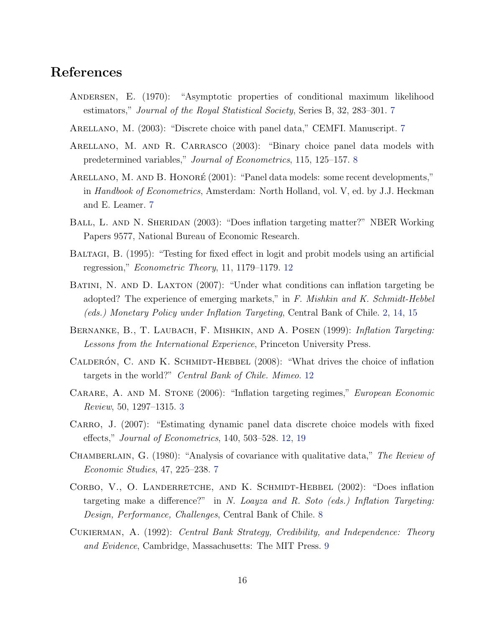## <span id="page-15-0"></span>References

- Andersen, E. (1970): "Asymptotic properties of conditional maximum likelihood estimators," Journal of the Royal Statistical Society, Series B, 32, 283–301. [7](#page-6-0)
- Arellano, M. (2003): "Discrete choice with panel data," CEMFI. Manuscript. [7](#page-6-0)
- ARELLANO, M. AND R. CARRASCO (2003): "Binary choice panel data models with predetermined variables," Journal of Econometrics, 115, 125–157. [8](#page-7-0)
- ARELLANO, M. AND B. HONORÉ (2001): "Panel data models: some recent developments," in Handbook of Econometrics, Amsterdam: North Holland, vol. V, ed. by J.J. Heckman and E. Leamer. [7](#page-6-0)
- BALL, L. AND N. SHERIDAN (2003): "Does inflation targeting matter?" NBER Working Papers 9577, National Bureau of Economic Research.
- Baltagi, B. (1995): "Testing for fixed effect in logit and probit models using an artificial regression," Econometric Theory, 11, 1179–1179. [12](#page-11-0)
- BATINI, N. AND D. LAXTON (2007): "Under what conditions can inflation targeting be adopted? The experience of emerging markets," in F. Mishkin and K. Schmidt-Hebbel (eds.) Monetary Policy under Inflation Targeting, Central Bank of Chile. [2,](#page-1-0) [14,](#page-13-0) [15](#page-14-0)
- BERNANKE, B., T. LAUBACH, F. MISHKIN, AND A. POSEN (1999): Inflation Targeting: Lessons from the International Experience, Princeton University Press.
- CALDERÓN, C. AND K. SCHMIDT-HEBBEL  $(2008)$ : "What drives the choice of inflation targets in the world?" Central Bank of Chile. Mimeo. [12](#page-11-0)
- CARARE, A. AND M. STONE (2006): "Inflation targeting regimes," *European Economic* Review, 50, 1297–1315. [3](#page-2-0)
- CARRO, J. (2007): "Estimating dynamic panel data discrete choice models with fixed effects," Journal of Econometrics, 140, 503–528. [12,](#page-11-0) [19](#page-18-0)
- CHAMBERLAIN, G. (1980): "Analysis of covariance with qualitative data," The Review of Economic Studies, 47, 225–238. [7](#page-6-0)
- CORBO, V., O. LANDERRETCHE, AND K. SCHMIDT-HEBBEL (2002): "Does inflation targeting make a difference?" in N. Loayza and R. Soto (eds.) Inflation Targeting: Design, Performance, Challenges, Central Bank of Chile. [8](#page-7-0)
- Cukierman, A. (1992): Central Bank Strategy, Credibility, and Independence: Theory and Evidence, Cambridge, Massachusetts: The MIT Press. [9](#page-8-0)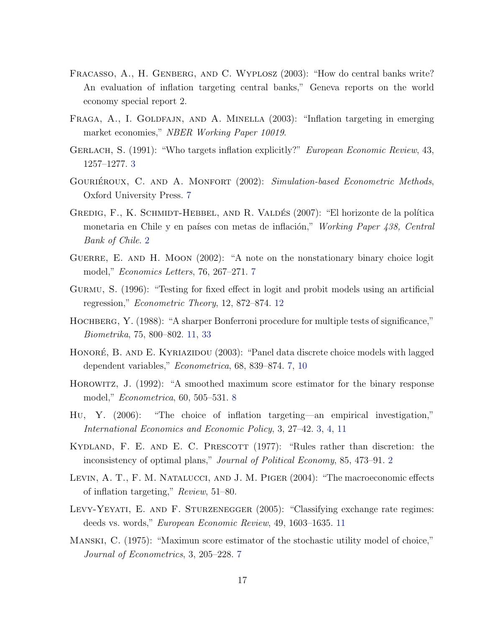- <span id="page-16-0"></span>FRACASSO, A., H. GENBERG, AND C. WYPLOSZ (2003): "How do central banks write? An evaluation of inflation targeting central banks," Geneva reports on the world economy special report 2.
- FRAGA, A., I. GOLDFAJN, AND A. MINELLA (2003): "Inflation targeting in emerging market economies," NBER Working Paper 10019.
- GERLACH, S. (1991): "Who targets inflation explicitly?" *European Economic Review*, 43, 1257–1277. [3](#page-2-0)
- GOURIÉROUX, C. AND A. MONFORT (2002): Simulation-based Econometric Methods, Oxford University Press. [7](#page-6-0)
- GREDIG, F., K. SCHMIDT-HEBBEL, AND R. VALDÉS (2007): "El horizonte de la política monetaria en Chile y en países con metas de inflación," Working Paper 438, Central Bank of Chile. [2](#page-1-0)
- GUERRE, E. AND H. MOON (2002): "A note on the nonstationary binary choice logit model," Economics Letters, 76, 267–271. [7](#page-6-0)
- Gurmu, S. (1996): "Testing for fixed effect in logit and probit models using an artificial regression," Econometric Theory, 12, 872–874. [12](#page-11-0)
- HOCHBERG, Y. (1988): "A sharper Bonferroni procedure for multiple tests of significance," Biometrika, 75, 800–802. [11,](#page-10-0) [33](#page-32-0)
- HONORÉ, B. AND E. KYRIAZIDOU (2003): "Panel data discrete choice models with lagged dependent variables," Econometrica, 68, 839–874. [7,](#page-6-0) [10](#page-9-0)
- Horowitz, J. (1992): "A smoothed maximum score estimator for the binary response model," Econometrica, 60, 505–531. [8](#page-7-0)
- Hu, Y. (2006): "The choice of inflation targeting—an empirical investigation," International Economics and Economic Policy, 3, 27–42. [3,](#page-2-0) [4,](#page-3-0) [11](#page-10-0)
- KYDLAND, F. E. AND E. C. PRESCOTT  $(1977)$ : "Rules rather than discretion: the inconsistency of optimal plans," Journal of Political Economy, 85, 473–91. [2](#page-1-0)
- Levin, A. T., F. M. Natalucci, and J. M. Piger (2004): "The macroeconomic effects of inflation targeting," Review, 51–80.
- LEVY-YEYATI, E. AND F. STURZENEGGER (2005): "Classifying exchange rate regimes: deeds vs. words," European Economic Review, 49, 1603–1635. [11](#page-10-0)
- Manski, C. (1975): "Maximun score estimator of the stochastic utility model of choice," Journal of Econometrics, 3, 205–228. [7](#page-6-0)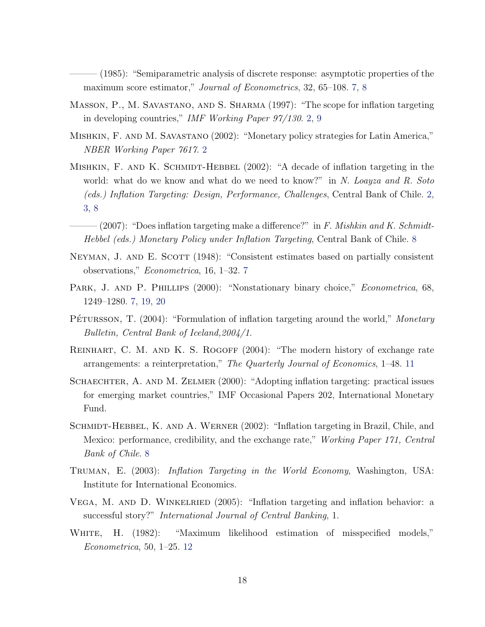<span id="page-17-0"></span> $(1985)$ : "Semiparametric analysis of discrete response: asymptotic properties of the maximum score estimator," *Journal of Econometrics*, 32, 65–108. [7,](#page-6-0) [8](#page-7-0)

- Masson, P., M. Savastano, and S. Sharma (1997): "The scope for inflation targeting in developing countries," IMF Working Paper 97/130. [2,](#page-1-0) [9](#page-8-0)
- Mishkin, F. and M. Savastano (2002): "Monetary policy strategies for Latin America," NBER Working Paper 7617. [2](#page-1-0)
- MISHKIN, F. AND K. SCHMIDT-HEBBEL (2002): "A decade of inflation targeting in the world: what do we know and what do we need to know?" in N. Loayza and R. Soto (eds.) Inflation Targeting: Design, Performance, Challenges, Central Bank of Chile. [2,](#page-1-0) [3,](#page-2-0) [8](#page-7-0)
- $-(2007)$ : "Does inflation targeting make a difference?" in F. Mishkin and K. Schmidt-Hebbel (eds.) Monetary Policy under Inflation Targeting, Central Bank of Chile. [8](#page-7-0)
- NEYMAN, J. AND E. SCOTT (1948): "Consistent estimates based on partially consistent observations," Econometrica, 16, 1–32. [7](#page-6-0)
- PARK, J. AND P. PHILLIPS (2000): "Nonstationary binary choice," Econometrica, 68, 1249–1280. [7,](#page-6-0) [19,](#page-18-0) [20](#page-19-0)
- PÉTURSSON, T. (2004): "Formulation of inflation targeting around the world," Monetary Bulletin, Central Bank of Iceland,2004/1.
- REINHART, C. M. AND K. S. ROGOFF (2004): "The modern history of exchange rate arrangements: a reinterpretation," The Quarterly Journal of Economics, 1–48. [11](#page-10-0)
- SCHAECHTER, A. AND M. ZELMER (2000): "Adopting inflation targeting: practical issues for emerging market countries," IMF Occasional Papers 202, International Monetary Fund.
- SCHMIDT-HEBBEL, K. AND A. WERNER (2002): "Inflation targeting in Brazil, Chile, and Mexico: performance, credibility, and the exchange rate," Working Paper 171, Central Bank of Chile. [8](#page-7-0)
- Truman, E. (2003): Inflation Targeting in the World Economy, Washington, USA: Institute for International Economics.
- VEGA, M. AND D. WINKELRIED (2005): "Inflation targeting and inflation behavior: a successful story?" International Journal of Central Banking, 1.
- White, H. (1982): "Maximum likelihood estimation of misspecified models," Econometrica, 50, 1–25. [12](#page-11-0)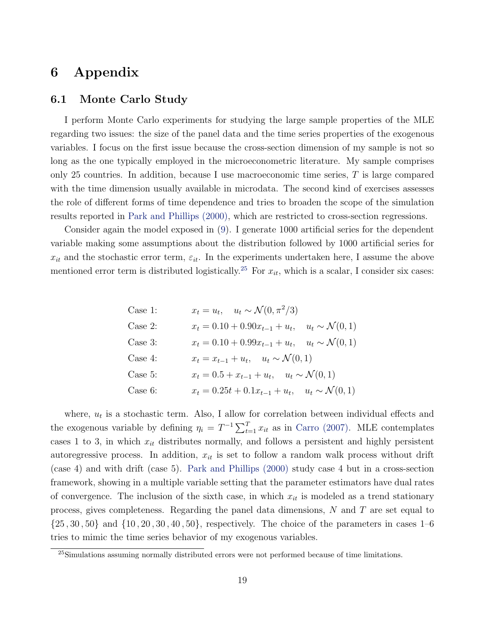## <span id="page-18-0"></span>6 Appendix

#### 6.1 Monte Carlo Study

I perform Monte Carlo experiments for studying the large sample properties of the MLE regarding two issues: the size of the panel data and the time series properties of the exogenous variables. I focus on the first issue because the cross-section dimension of my sample is not so long as the one typically employed in the microeconometric literature. My sample comprises only 25 countries. In addition, because I use macroeconomic time series,  $T$  is large compared with the time dimension usually available in microdata. The second kind of exercises assesses the role of different forms of time dependence and tries to broaden the scope of the simulation results reported in [Park and Phillips \(2000\),](#page-17-0) which are restricted to cross-section regressions.

Consider again the model exposed in [\(9\)](#page-5-0). I generate 1000 artificial series for the dependent variable making some assumptions about the distribution followed by 1000 artificial series for  $x_{it}$  and the stochastic error term,  $\varepsilon_{it}$ . In the experiments undertaken here, I assume the above mentioned error term is distributed logistically.<sup>25</sup> For  $x_{it}$ , which is a scalar, I consider six cases:

Case 1: 
$$
x_t = u_t
$$
,  $u_t \sim \mathcal{N}(0, \pi^2/3)$   
\nCase 2:  $x_t = 0.10 + 0.90x_{t-1} + u_t$ ,  $u_t \sim \mathcal{N}(0, 1)$   
\nCase 3:  $x_t = 0.10 + 0.99x_{t-1} + u_t$ ,  $u_t \sim \mathcal{N}(0, 1)$   
\nCase 4:  $x_t = x_{t-1} + u_t$ ,  $u_t \sim \mathcal{N}(0, 1)$   
\nCase 5:  $x_t = 0.5 + x_{t-1} + u_t$ ,  $u_t \sim \mathcal{N}(0, 1)$   
\nCase 6:  $x_t = 0.25t + 0.1x_{t-1} + u_t$ ,  $u_t \sim \mathcal{N}(0, 1)$ 

where,  $u_t$  is a stochastic term. Also, I allow for correlation between individual effects and the exogenous variable by defining  $\eta_i = T^{-1} \sum_{t=1}^T x_{it}$  as in [Carro \(2007\).](#page-15-0) MLE contemplates cases 1 to 3, in which  $x_{it}$  distributes normally, and follows a persistent and highly persistent autoregressive process. In addition,  $x_{it}$  is set to follow a random walk process without drift (case 4) and with drift (case 5). [Park and Phillips \(2000\)](#page-17-0) study case 4 but in a cross-section framework, showing in a multiple variable setting that the parameter estimators have dual rates of convergence. The inclusion of the sixth case, in which  $x_{it}$  is modeled as a trend stationary process, gives completeness. Regarding the panel data dimensions,  $N$  and  $T$  are set equal to  $\{25, 30, 50\}$  and  $\{10, 20, 30, 40, 50\}$ , respectively. The choice of the parameters in cases 1–6 tries to mimic the time series behavior of my exogenous variables.

 $^{25}$ Simulations assuming normally distributed errors were not performed because of time limitations.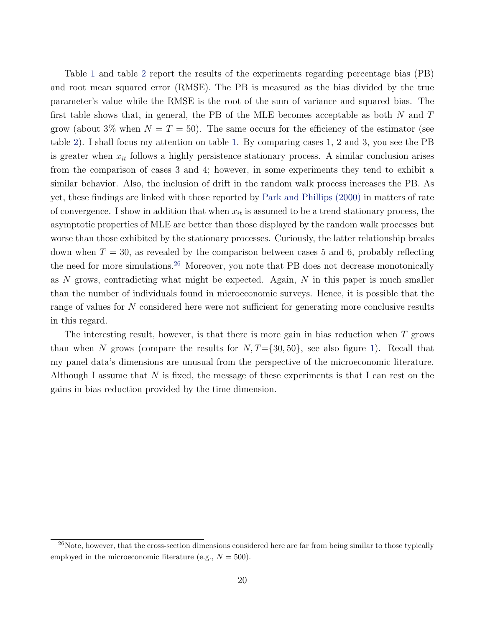<span id="page-19-0"></span>Table [1](#page-20-0) and table [2](#page-21-0) report the results of the experiments regarding percentage bias (PB) and root mean squared error (RMSE). The PB is measured as the bias divided by the true parameter's value while the RMSE is the root of the sum of variance and squared bias. The first table shows that, in general, the PB of the MLE becomes acceptable as both  $N$  and  $T$ grow (about 3% when  $N = T = 50$ ). The same occurs for the efficiency of the estimator (see table [2\)](#page-21-0). I shall focus my attention on table [1.](#page-20-0) By comparing cases 1, 2 and 3, you see the PB is greater when  $x_{it}$  follows a highly persistence stationary process. A similar conclusion arises from the comparison of cases 3 and 4; however, in some experiments they tend to exhibit a similar behavior. Also, the inclusion of drift in the random walk process increases the PB. As yet, these findings are linked with those reported by [Park and Phillips \(2000\)](#page-17-0) in matters of rate of convergence. I show in addition that when  $x_{it}$  is assumed to be a trend stationary process, the asymptotic properties of MLE are better than those displayed by the random walk processes but worse than those exhibited by the stationary processes. Curiously, the latter relationship breaks down when  $T = 30$ , as revealed by the comparison between cases 5 and 6, probably reflecting the need for more simulations.<sup>26</sup> Moreover, you note that PB does not decrease monotonically as N grows, contradicting what might be expected. Again, N in this paper is much smaller than the number of individuals found in microeconomic surveys. Hence, it is possible that the range of values for N considered here were not sufficient for generating more conclusive results in this regard.

The interesting result, however, is that there is more gain in bias reduction when T grows than when N grows (compare the results for  $N, T=\{30, 50\}$ , see also figure [1\)](#page-22-0). Recall that my panel data's dimensions are unusual from the perspective of the microeconomic literature. Although I assume that N is fixed, the message of these experiments is that I can rest on the gains in bias reduction provided by the time dimension.

 $^{26}$ Note, however, that the cross-section dimensions considered here are far from being similar to those typically employed in the microeconomic literature (e.g.,  $N = 500$ ).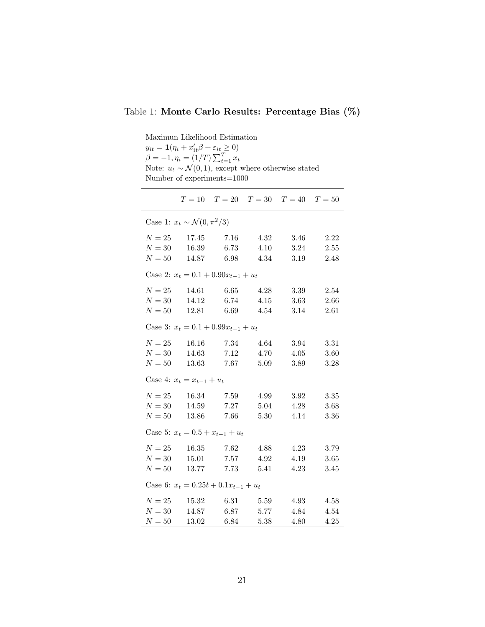### <span id="page-20-0"></span>Table 1: Monte Carlo Results: Percentage Bias (%)

Maximun Likelihood Estimation

| $y_{it} = \mathbf{1}(\eta_i + x'_{it} \beta + \varepsilon_{it} \geq 0)$<br>$\beta = -1, \eta_i = (1/T) \sum_{t=1}^T x_t$<br>Note: $u_t \sim \mathcal{N}(0, 1)$ , except where otherwise stated<br>Number of experiments=1000 |                                              |  |  |
|------------------------------------------------------------------------------------------------------------------------------------------------------------------------------------------------------------------------------|----------------------------------------------|--|--|
|                                                                                                                                                                                                                              | $T = 10$ $T = 20$ $T = 30$ $T = 40$ $T = 50$ |  |  |

|        | Case 1: $x_t \sim \mathcal{N}(0, \pi^2/3)$ |      |      |      |               |
|--------|--------------------------------------------|------|------|------|---------------|
|        | $N = 25$ 17.45 7.16 4.32 3.46 2.22         |      |      |      |               |
|        | $N = 30$ 16.39 6.73 4.10                   |      |      |      | $3.24$ $2.55$ |
|        | $N = 50$ 14.87 6.98 4.34 3.19 2.48         |      |      |      |               |
|        | Case 2: $x_t = 0.1 + 0.90x_{t-1} + u_t$    |      |      |      |               |
|        | $N = 25$ 14.61 6.65 4.28                   |      |      | 3.39 | 2.54          |
|        | $N = 30$ 14.12 6.74 4.15 3.63 2.66         |      |      |      |               |
|        | $N = 50$ 12.81 6.69 4.54 3.14 2.61         |      |      |      |               |
|        | Case 3: $x_t = 0.1 + 0.99x_{t-1} + u_t$    |      |      |      |               |
|        | $N = 25$ 16.16 7.34 4.64 3.94 3.31         |      |      |      |               |
|        | $N = 30$ 14.63 7.12 4.70 4.05              |      |      |      | 3.60          |
|        | $N = 50$ 13.63 7.67 5.09                   |      |      |      | 3.89 3.28     |
|        | Case 4: $x_t = x_{t-1} + u_t$              |      |      |      |               |
|        | $N = 25$ 16.34 7.59 4.99                   |      |      | 3.92 | 3.35          |
|        | $N = 30$ 14.59 7.27 5.04                   |      |      |      | 4.28 3.68     |
|        | $N = 50$ 13.86 7.66 5.30                   |      |      |      | 4.14 3.36     |
|        | Case 5: $x_t = 0.5 + x_{t-1} + u_t$        |      |      |      |               |
|        | $N = 25$ 16.35 7.62 4.88                   |      |      |      | 4.23 3.79     |
|        | $N = 30$ 15.01 7.57 4.92                   |      |      |      | $4.19$ $3.65$ |
|        | $N = 50$ 13.77 7.73 5.41 4.23 3.45         |      |      |      |               |
|        | Case 6: $x_t = 0.25t + 0.1x_{t-1} + u_t$   |      |      |      |               |
|        | $N = 25$ 15.32 6.31 5.59                   |      |      |      | 4.93 4.58     |
|        | $N = 30$ 14.87 6.87 5.77                   |      |      |      | 4.84 4.54     |
| $N=50$ | 13.02                                      | 6.84 | 5.38 | 4.80 | 4.25          |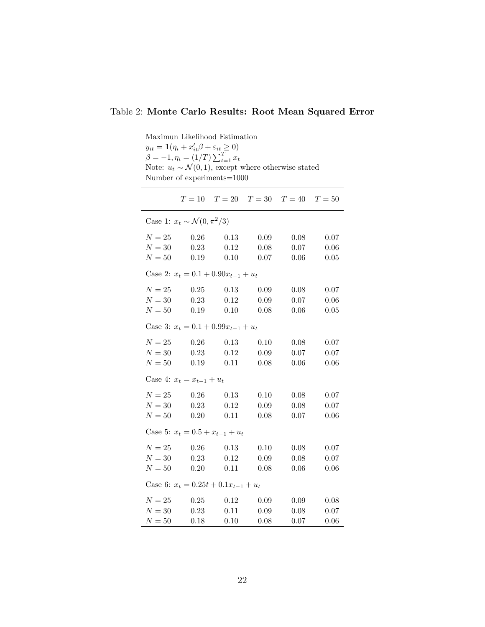#### <span id="page-21-0"></span>Table 2: Monte Carlo Results: Root Mean Squared Error

Maximun Likelihood Estimation  $y_{it} = \mathbf{1}(\eta_i + x_{it}'\beta + \varepsilon_{it} \ge 0)$  $\beta = -1, \eta_i = (1/T) \sum_{t=1}^{T} x_t$ Note:  $u_t \sim \mathcal{N}(0, 1)$ , except where otherwise stated Number of experiments=1000  $T = 10$   $T = 20$   $T = 30$   $T = 40$   $T = 50$ Case 1:  $x_t \sim \mathcal{N}(0, \pi^2/3)$  $N = 25$  0.26 0.13 0.09 0.08 0.07  $N = 30$  0.23 0.12 0.08 0.07 0.06  $N = 50$  0.19 0.10 0.07 0.06 0.05 Case 2:  $x_t = 0.1 + 0.90x_{t-1} + u_t$  $N = 25$  0.25 0.13 0.09 0.08 0.07  $N = 30$  0.23 0.12 0.09 0.07 0.06  $N = 50$  0.19 0.10 0.08 0.06 0.05 Case 3:  $x_t = 0.1 + 0.99x_{t-1} + u_t$  $N = 25$  0.26 0.13 0.10 0.08 0.07  $N = 30$  0.23 0.12 0.09 0.07 0.07  $N = 50$  0.19 0.11 0.08 0.06 0.06 Case 4:  $x_t = x_{t-1} + u_t$  $N = 25$  0.26 0.13 0.10 0.08 0.07  $N = 30$  0.23 0.12 0.09 0.08 0.07  $N = 50$  0.20 0.11 0.08 0.07 0.06 Case 5:  $x_t = 0.5 + x_{t-1} + u_t$  $N = 25 \qquad \quad 0.26 \qquad \quad 0.13 \qquad \quad 0.10 \qquad \quad 0.08 \qquad \quad 0.07$  $N = 30$  0.23 0.12 0.09 0.08 0.07  $N = 50$  0.20 0.11 0.08 0.06 0.06 Case 6:  $x_t = 0.25t + 0.1x_{t-1} + u_t$  $N = 25$  0.25 0.12 0.09 0.09 0.08  $N = 30$  0.23 0.11 0.09 0.08 0.07  $N = 50$  0.18 0.10 0.08 0.07 0.06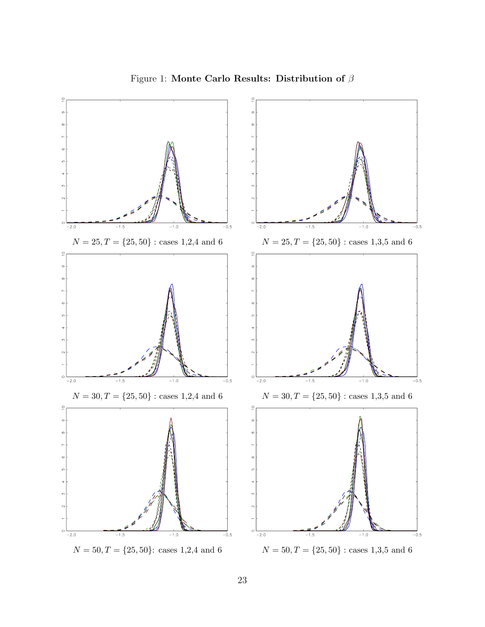<span id="page-22-0"></span>

Figure 1: Monte Carlo Results: Distribution of  $\beta$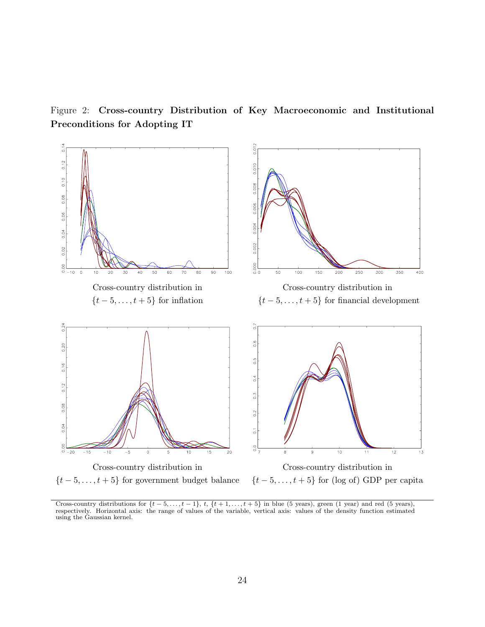<span id="page-23-0"></span>Figure 2: Cross-country Distribution of Key Macroeconomic and Institutional Preconditions for Adopting IT



Cross-country distributions for  $\{t-5,\ldots,t-1\}$ ,  $t$ ,  $\{t+1,\ldots,t+5\}$  in blue (5 years), green (1 year) and red (5 years), respectively. Horizontal axis: the range of values of the variable, vertical axis: values of the density function estimated using the Gaussian kernel.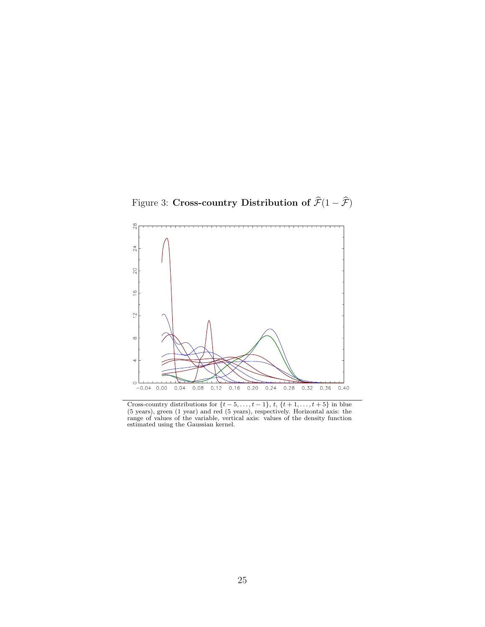<span id="page-24-0"></span>Figure 3: Cross-country Distribution of  $\widehat{\mathcal{F}}(1 - \widehat{\mathcal{F}})$ 



Cross-country distributions for  $\{t-5,\ldots,t-1\}$ ,  $t, \{t+1,\ldots,t+5\}$  in blue (5 years), green (1 year) and red (5 years), respectively. Horizontal axis: the range of values of the variable, vertical axis: values of the density function estimated using the Gaussian kernel.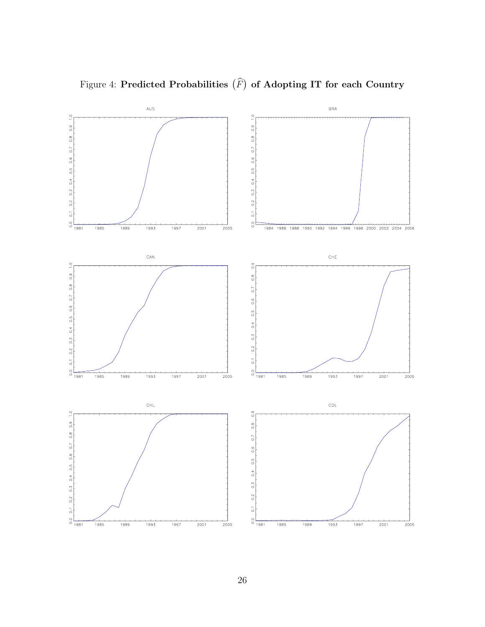<span id="page-25-0"></span>

Figure 4: Predicted Probabilities  $(\widehat{F})$ of Adopting IT for each Country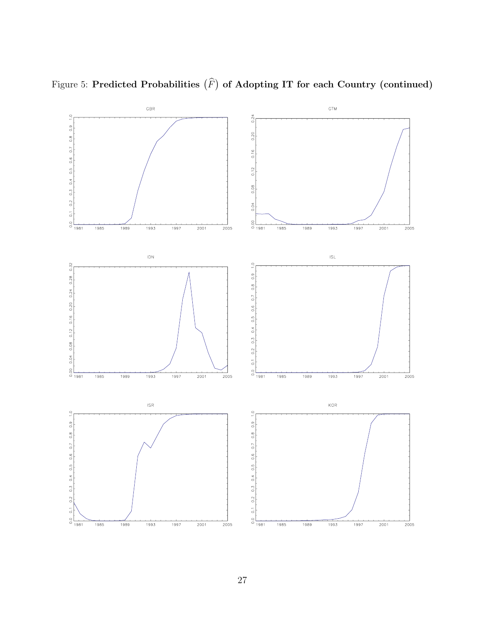

Figure 5: Predicted Probabilities  $(\widehat{F})$ of Adopting IT for each Country (continued)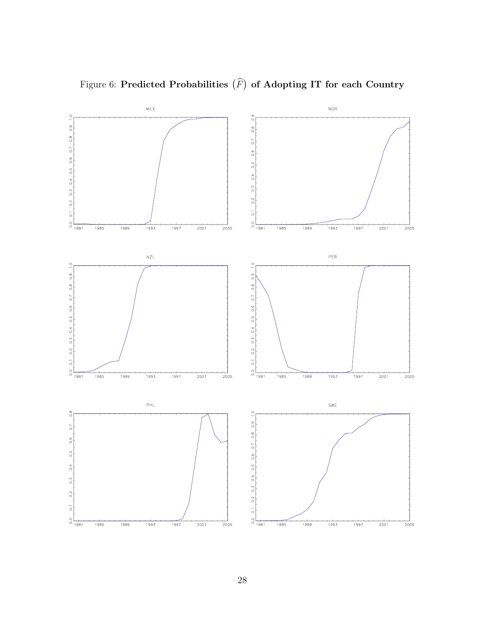

Figure 6: Predicted Probabilities  $(\widehat{F})$ of Adopting IT for each Country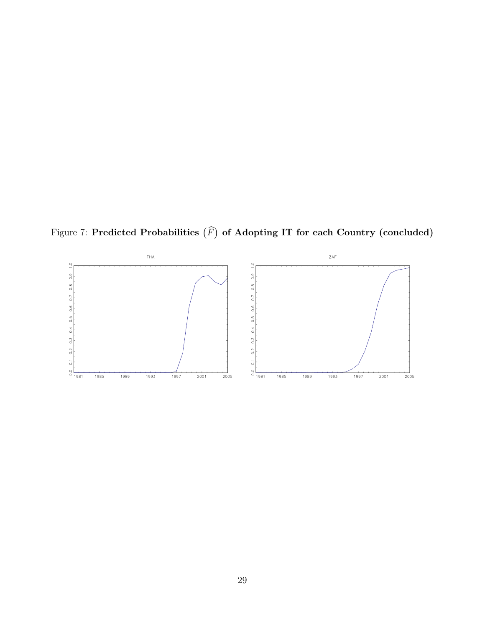<span id="page-28-0"></span>Figure 7: Predicted Probabilities  $(\widehat{F})$ of Adopting IT for each Country (concluded)

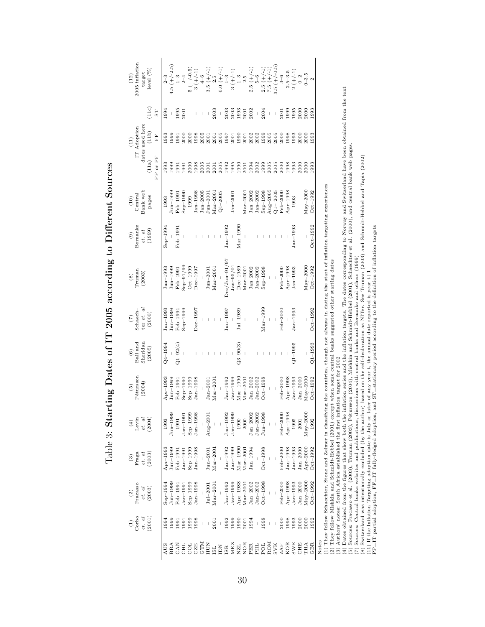| ١<br>l                                                  |
|---------------------------------------------------------|
| ו<br>ו<br>י<br> <br> <br>İ<br>؟<br>أ<br>Ī               |
| Í<br>)<br>$\mathbf{I}$<br>$\frac{1}{2}$                 |
| 1<br>(((<br>۱                                           |
| <br> <br> <br>$\ddot{\zeta}$<br>しりょ<br>)<br>}<br>}<br>ļ |
| D<br>i<br>j                                             |
| l<br>י<br> <br> }<br>I                                  |

<span id="page-29-0"></span>

|                               | $\begin{array}{c} (1)\\ \textrm{Corbo}\\ et\quad d \end{array}$<br>(2001)                                                                                                                                                                                                                                                                                                                | Pracasso<br>(2003)<br>$et.$ $al$<br>$\widehat{c}$ | Fraga<br>(2003)<br>$et.$ al<br>$\begin{pmatrix} 3 \end{pmatrix}$ | $\frac{(4)}{Letin}$<br>(2004)<br>et. al           | Pétursson<br>(2004)<br>$\widetilde{5}$               | Sheridan<br>Ball and<br>(2005)<br>$\circledcirc$ | ter et. al<br>$\binom{7}{2}$ Schaech–<br>(2000) | $\begin{array}{c} (8) \\ \text{Truman} \end{array}$<br>(2003)                                                                                                                                                                                                          | Bernanke<br>(1999)<br>$et.$ $al$<br>$\begin{pmatrix} 0 \\ 0 \end{pmatrix}$ | $\begin{array}{c} (10) \\ \text{Central} \\ \text{Bank web} \end{array}$<br>pages | PP or FF<br>(11a)              | dates used here<br>(11)<br>IT Adoption<br>(11b)<br>EF | (11c)<br>5T                      | $^{(12)}_{\rm 2005~inflation}$<br>target<br>level $(\%)$                                                                                                          |
|-------------------------------|------------------------------------------------------------------------------------------------------------------------------------------------------------------------------------------------------------------------------------------------------------------------------------------------------------------------------------------------------------------------------------------|---------------------------------------------------|------------------------------------------------------------------|---------------------------------------------------|------------------------------------------------------|--------------------------------------------------|-------------------------------------------------|------------------------------------------------------------------------------------------------------------------------------------------------------------------------------------------------------------------------------------------------------------------------|----------------------------------------------------------------------------|-----------------------------------------------------------------------------------|--------------------------------|-------------------------------------------------------|----------------------------------|-------------------------------------------------------------------------------------------------------------------------------------------------------------------|
| AUS<br>BRA                    | 1999<br>1994                                                                                                                                                                                                                                                                                                                                                                             | $_{\text{Jun}-199}$<br>$Sep-1994$                 | $_{\rm Jun-199}$<br>Apr-1993                                     | $J$ un $-1999$<br>1993                            | $Apr-1993$<br>$_{\text{Iun}-1999}$                   | $24 - 1994$                                      | $J$ un $-1999$<br>Feb $-1991$<br>Jun-1993       | $J$ un $-1999$<br>$J$ un $-1993$                                                                                                                                                                                                                                       | $Sep-1994$<br>Feb-1991                                                     | $\mu_{\rm m-1999}$<br>1993                                                        | 1993<br>0.66<br>$\overline{5}$ | 1993<br><b>660</b>                                    | 1994                             |                                                                                                                                                                   |
| 요<br>인터                       | 1999<br>1991<br>1991                                                                                                                                                                                                                                                                                                                                                                     | $Sep-1999$<br>Feb-1991<br>Jan-1991                | $Sep-1999$<br>$Jan-1991$<br>Feb-199                              | $Sep-1999$<br>$Jan-1991$<br>1991                  | $Sep-1999$<br>$Sep-199C$<br>Feb-1991                 | $Q1 - 92(4)$                                     | $Sep-1999$                                      | $Sep-91/90$<br>$Oct-1999$<br>Feb-1991                                                                                                                                                                                                                                  |                                                                            | $Sep-199C$<br>Feb-199<br>1999                                                     | 2000<br>1991                   | 2000<br>200C<br>$-0.91$                               | 1995<br>2001                     | 4.5 $(1+/-2.5)$<br>$5 (-/-0.5)$<br>$5 (-/-0.5)$<br>$3 (+/-1)$<br>$3.5 (+/-1)$<br>$3.5 (+/-1)$<br>$2.5 (-/-1)$<br>$3.5 (+/-1)$<br>$1-3$<br>$1-3$<br>$1-5$<br>$1-5$ |
| <b>GTN</b><br>CZE             | 1998<br>$\begin{array}{c} \rule{0pt}{2.5ex} \rule{0pt}{2.5ex} \rule{0pt}{2.5ex} \rule{0pt}{2.5ex} \rule{0pt}{2.5ex} \rule{0pt}{2.5ex} \rule{0pt}{2.5ex} \rule{0pt}{2.5ex} \rule{0pt}{2.5ex} \rule{0pt}{2.5ex} \rule{0pt}{2.5ex} \rule{0pt}{2.5ex} \rule{0pt}{2.5ex} \rule{0pt}{2.5ex} \rule{0pt}{2.5ex} \rule{0pt}{2.5ex} \rule{0pt}{2.5ex} \rule{0pt}{2.5ex} \rule{0pt}{2.5ex} \rule{0$ | $Jan-1998$                                        | $_{\rm Jan-1998}$                                                | $Jan-1998$                                        | $Jan-1998$                                           |                                                  | $Dec-1997$                                      | $Dec-1997$                                                                                                                                                                                                                                                             |                                                                            | $Jan-2005$<br>$_{\rm Ian-1998}$                                                   | 1998<br>2005                   | 1998<br>2005                                          |                                  |                                                                                                                                                                   |
| НUМ                           | 2001                                                                                                                                                                                                                                                                                                                                                                                     | $Mar - 2001$<br>$Jul-2001$                        | $J$ un $-2001$<br>$Mar-2001$                                     | $Aug-2001$                                        | $Jan-2001$<br>$Mar - 2001$                           |                                                  |                                                 | $J$ un $-2001$<br>$Mar-2001$                                                                                                                                                                                                                                           |                                                                            | $J$ un $-200$<br>$Mar-200$                                                        | 2001<br>2001                   | 2001<br>2001                                          | 2003                             |                                                                                                                                                                   |
| <b>ELEREN</b><br>ENER         | 1992<br>$\mid$                                                                                                                                                                                                                                                                                                                                                                           | $Jan-1992$                                        | $_{\rm Jan-1992}$                                                | $Jan-1992$                                        | $_{\rm Jan-1992}$                                    |                                                  | $J$ un $-1997$                                  | $Dec/$ Jun $-91/97$                                                                                                                                                                                                                                                    | $Jan-1992$                                                                 | $Q1 - 2005$                                                                       | 1992<br>2005                   | 2005<br>1997                                          | 2003<br>$\overline{\phantom{a}}$ |                                                                                                                                                                   |
| <b>NOR</b><br>NZL             | 1999<br>1990<br>2001                                                                                                                                                                                                                                                                                                                                                                     | $Jan-1999$<br>$\rm Apr-1988$<br>$Mar-200$         | $Jan-1999$<br>$Mar-199$<br>$Mar-200$                             | $Jan-1999$<br>2000<br>1990                        | $Mar-1990$<br>$_{\rm Jan-1999}$<br>$Mar-2001$        | $Q3 - 90(3)$                                     | $Jul-1989$                                      | $Jan-95/01$<br>$Dec-1989$<br>$Mar-2001$                                                                                                                                                                                                                                | $Mar-1990$                                                                 | $Mar-2001$<br>$Jan-2001$                                                          | 1990<br>1995<br>2001           | 1990<br>2001<br>2001                                  | 1993<br>2001<br>2003             |                                                                                                                                                                   |
| PER<br>PHL<br>pol             | 1998<br>1994                                                                                                                                                                                                                                                                                                                                                                             | $Oct-1998$<br>Jan $-2002$<br>$_{\rm{lan-2002}}$   | $Oct-1998$<br>$Jan-1994$                                         | $_{\rm Jan-2002}$<br>$Jan-2002$<br>$J$ un $-1998$ | $Oct-1998$<br>$_{\rm Jan-2002}$<br>$_{\rm Jan-2002}$ |                                                  |                                                 | $Jan-2002$<br>$_{\rm Jan-2002}$                                                                                                                                                                                                                                        |                                                                            | $Jan-2002$<br>$Jan-2002$                                                          | 1994<br>2002<br>1999           | 2002<br>2002<br>1999                                  | 2002<br>$\mid$                   |                                                                                                                                                                   |
| ROM<br>$_{\rm ZAF}^{\rm SVK}$ | $\mid$                                                                                                                                                                                                                                                                                                                                                                                   |                                                   |                                                                  |                                                   |                                                      |                                                  | $Mar-1999$                                      | $Sep-1998$                                                                                                                                                                                                                                                             |                                                                            | Aug $-2005$<br>$Sep-1998$<br>$Q1 - 2005$                                          | 2005<br>2005                   | 2005<br>2005                                          | 2004<br>$\mid$<br>$\mid$         | 2.5 $(+/-1)$<br>7.5 $(+/-1)$<br>3.5 $(+/-0.5)$                                                                                                                    |
| KOR<br><b>SWE</b>             | 2000<br>1998<br>1993                                                                                                                                                                                                                                                                                                                                                                     | $Apr-1998$<br>$Jan-1993$<br>Feb-2000              | $Feb-2000$<br>$Jan-1998$<br>$_{\rm Jan-1993}$                    | Apr-1998<br>$Feb-2000$<br>1995                    | $Apr-1998$<br>$Jan-1993$<br>Feb-2000                 | $Q1 - 1995$<br>$\,$ $\,$                         | $Jan-1993$<br>$Feb-2000$                        | $Apr-1998$<br>Feb-2000<br>$Jan-1993$                                                                                                                                                                                                                                   | $Jan-1993$                                                                 | $\rm Apr-1998$<br>Feb-2000<br>1993                                                | 2000<br>1998<br>1993           | 2000<br>1998<br>1993                                  | 1999<br>1995<br>2001             |                                                                                                                                                                   |
| GBR<br>CHE<br>THA             | 1992<br>2000<br>2000                                                                                                                                                                                                                                                                                                                                                                     | $May-2000$<br>$Oct-1992$<br>$Jan-2000$            | $Oct-1992$<br>$Apr-200C$<br>$Jan-200$                            | $Max-2000$<br>1992<br>2001                        | $\text{May}=2000$<br>$Oct-1992$<br>$Jan-2000$        | $Q1 - 1993$                                      | $Oct-1992$                                      | $May-2000$<br>$Oct-1992$                                                                                                                                                                                                                                               | $Oct-1992$                                                                 | $May-2000$<br>$Oct-1992$                                                          | 2000<br>1993<br>2000           | 2000<br>2000<br>1993                                  | 2000<br>2000<br>1993             | $\begin{array}{c} 3\!-\!6 \\ 2.5\!-\!3.5 \\ 2 \left(\!+\!\!{\begin{array}{c} 1 \\ +\! 2 \\ 0\!-\! 3 \\ 0\!-\! 3.5 \\ \end{array}}\!\right. \\ 0 \! \end{array}$   |
| Notes                         |                                                                                                                                                                                                                                                                                                                                                                                          |                                                   |                                                                  |                                                   |                                                      |                                                  |                                                 | (1) They follow Schaechter, Stone and Zelmer in classifying the countries, though not always in dating the start of inflation targeting experiences<br>(2) They follow Mishkin and Schmidt-Hebbel (2001) except when some central banks suggested other starting dates |                                                                            |                                                                                   |                                |                                                       |                                  |                                                                                                                                                                   |

(2) They follow Mishkin and Schmidt-Hebbel (2001) except when some central banks suggested other starting dates

(3) Authors' notes: South Africa established the first inflation target for 2002

(3) Authors' notes: South Africa established the first inflation target for 2002<br>(3) Authors' notes: South Africa established the first inflation target for 2002<br>(4) Dates obtained from the figures that show both the infla (4) Dates obtained from the figures that show both the inflation series and the inflation targets. The dates corresponding to Norway and Switzerland have been obtained from the text

(5) Sources: Fracasso et al. (2003), Truman (2003), P´etursson (2004), Mishkin and Schmidt-Hebbel (2001), Schaechter et al. (2000), and central bank web pages.

(7) Sources: Central banks websites and publications, discussions with central banks and Bernanke and others (1999) (8) Switzerland was intentionally excluded (by the author) based on the self-declaration as NITer. See Truman (2003) and Schmidt-Hebbel and Tapia (2002)

(11) If the Inflation Targeting adoption date is July or later of any year t, the annual date reported is year t+1

PP=IT partial adoption, FF=IT fully-fledged adoption, and ST=stationary period according to the definition of inflation targets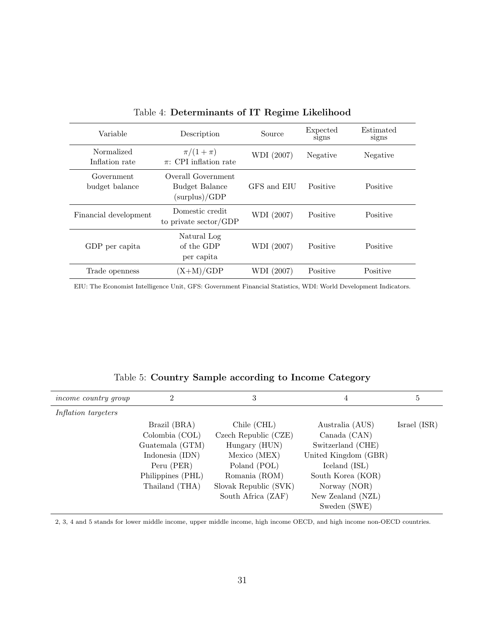<span id="page-30-0"></span>

| Variable                     | Description                                                  | Source      | Expected<br>signs | Estimated<br>signs |
|------------------------------|--------------------------------------------------------------|-------------|-------------------|--------------------|
| Normalized<br>Inflation rate | $\pi/(1+\pi)$<br>$\pi$ : CPI inflation rate                  | WDI (2007)  | Negative          | Negative           |
| Government<br>budget balance | Overall Government<br><b>Budget Balance</b><br>(surplus)/GDP | GFS and EIU | Positive          | Positive           |
| Financial development        | Domestic credit<br>to private sector/GDP                     | WDI (2007)  | Positive          | Positive           |
| GDP per capita               | Natural Log<br>of the GDP<br>per capita                      | WDI (2007)  | Positive          | Positive           |
| Trade openness               | $(X+M)/GDP$                                                  | WDI (2007)  | Positive          | Positive           |

Table 4: Determinants of IT Regime Likelihood

EIU: The Economist Intelligence Unit, GFS: Government Financial Statistics, WDI: World Development Indicators.

| <i>income country group</i> | 2                 | 3                     | 4                    | 5            |
|-----------------------------|-------------------|-----------------------|----------------------|--------------|
| Inflation targeters         |                   |                       |                      |              |
|                             |                   |                       |                      |              |
|                             | Brazil (BRA)      | Chile (CHL)           | Australia (AUS)      | Israel (ISR) |
|                             | Colombia (COL)    | Czech Republic (CZE)  | Canada (CAN)         |              |
|                             | Guatemala (GTM)   | Hungary (HUN)         | Switzerland (CHE)    |              |
|                             | Indonesia (IDN)   | Mexico (MEX)          | United Kingdom (GBR) |              |
|                             | Peru (PER)        | Poland (POL)          | Iceland (ISL)        |              |
|                             | Philippines (PHL) | Romania (ROM)         | South Korea (KOR)    |              |
|                             | Thailand (THA)    | Slovak Republic (SVK) | Norway (NOR)         |              |
|                             |                   | South Africa (ZAF)    | New Zealand (NZL)    |              |
|                             |                   |                       | Sweden (SWE)         |              |

| Table 5: Country Sample according to Income Category |
|------------------------------------------------------|
|------------------------------------------------------|

2, 3, 4 and 5 stands for lower middle income, upper middle income, high income OECD, and high income non-OECD countries.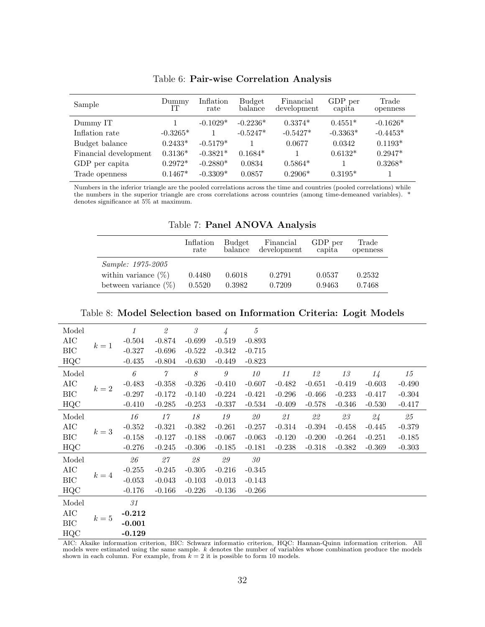<span id="page-31-0"></span>

| Sample                | Dummy<br>IТ | Inflation<br>rate | <b>Budget</b><br>balance | Financial<br>development | GDP per<br>capita | Trade<br>openness |
|-----------------------|-------------|-------------------|--------------------------|--------------------------|-------------------|-------------------|
| Dummy IT              |             | $-0.1029*$        | $-0.2236*$               | $0.3374*$                | $0.4551*$         | $-0.1626*$        |
| Inflation rate        | $-0.3265*$  |                   | $-0.5247*$               | $-0.5427*$               | $-0.3363*$        | $-0.4453*$        |
| Budget balance        | $0.2433*$   | $-0.5179*$        |                          | 0.0677                   | 0.0342            | $0.1193*$         |
| Financial development | $0.3136*$   | $-0.3821*$        | $0.1684*$                |                          | $0.6132*$         | $0.2947*$         |
| GDP per capita        | $0.2972*$   | $-0.2880*$        | 0.0834                   | $0.5864*$                |                   | $0.3268*$         |
| Trade openness        | $0.1467*$   | $-0.3309*$        | 0.0857                   | $0.2906*$                | $0.3195*$         |                   |

Table 6: Pair-wise Correlation Analysis

Numbers in the inferior triangle are the pooled correlations across the time and countries (pooled correlations) while the numbers in the superior triangle are cross correlations across countries (among time-demeaned variables). \* denotes significance at 5% at maximum.

|  |  | Table 7: Panel ANOVA Analysis |  |
|--|--|-------------------------------|--|
|--|--|-------------------------------|--|

|                         | Inflation<br>rate | <b>Budget</b><br>balance | Financial<br>development | GDP per<br>capita | Trade<br>openness |
|-------------------------|-------------------|--------------------------|--------------------------|-------------------|-------------------|
| Sample: 1975-2005       |                   |                          |                          |                   |                   |
| within variance $(\%)$  | 0.4480            | 0.6018                   | 0.2791                   | 0.0537            | 0.2532            |
| between variance $(\%)$ | 0.5520            | 0.3982                   | 0.7209                   | 0.9463            | 0.7468            |

| Model      |       | $\boldsymbol{\mathit{1}}$ | $\mathcal{Q}% _{M_{1},M_{2}}^{\alpha,\beta}(\varepsilon)$ | $\mathcal{\emph{3}}$     | $\frac{1}{4}$    | $\sqrt{5}$ |                |          |                          |          |          |
|------------|-------|---------------------------|-----------------------------------------------------------|--------------------------|------------------|------------|----------------|----------|--------------------------|----------|----------|
| AIC        |       | $-0.504$                  | $-0.874$                                                  | $-0.699$                 | $-0.519$         | $-0.893$   |                |          |                          |          |          |
| BIC        | $k=1$ | $-0.327$                  | $-0.696$                                                  | $-0.522$                 | $-0.342$         | $-0.715$   |                |          |                          |          |          |
| HQC        |       | $-0.435$                  | $-0.804$                                                  | $-0.630$                 | $-0.449$         | $-0.823$   |                |          |                          |          |          |
| Model      |       | $\boldsymbol{\theta}$     | $\gamma$                                                  | $\mathcal S$             | $\boldsymbol{g}$ | 10         | 11             | 12       | $1\sqrt{3}$              | 14       | $15\,$   |
| AIC        |       | $-0.483$                  | $-0.358$                                                  | $-0.326$                 | $-0.410$         | $-0.607$   | $-0.482$       | $-0.651$ | $-0.419$                 | $-0.603$ | $-0.490$ |
| $\rm BIC$  | $k=2$ | $-0.297$                  | $-0.172$                                                  | $-0.140$                 | $-0.224$         | $-0.421$   | $-0.296$       | $-0.466$ | $-0.233$                 | $-0.417$ | $-0.304$ |
| HQC        |       | $-0.410$                  | $-0.285$                                                  | $-0.253$                 | $-0.337$         | $-0.534$   | $-0.409$       | $-0.578$ | $-0.346$                 | $-0.530$ | $-0.417$ |
| Model      |       | 16                        | $17\,$                                                    | $18\,$                   | $19\,$           | $\it 20$   | $\mathcal{Q}1$ | $\it 22$ | $\mathcal{Q}\mathcal{G}$ | 24       | $\it 25$ |
| AIC        |       | $-0.352$                  | $-0.321$                                                  | $-0.382$                 | $-0.261$         | $-0.257$   | $-0.314$       | $-0.394$ | $-0.458$                 | $-0.445$ | $-0.379$ |
| BIC        | $k=3$ | $-0.158$                  | $-0.127$                                                  | $-0.188$                 | $-0.067$         | $-0.063$   | $-0.120$       | $-0.200$ | $-0.264$                 | $-0.251$ | $-0.185$ |
| HQC        |       | $-0.276$                  | $-0.245$                                                  | $-0.306$                 | $-0.185$         | $-0.181$   | $-0.238$       | $-0.318$ | $-0.382$                 | $-0.369$ | $-0.303$ |
| Model      |       | 26                        | 27                                                        | $\mathcal{Q}\mathcal{S}$ | $\it{29}$        | 30         |                |          |                          |          |          |
| AIC        |       | $-0.255$                  | $-0.245$                                                  | $-0.305$                 | $-0.216$         | $-0.345$   |                |          |                          |          |          |
| BIC        | $k=4$ | $-0.053$                  | $-0.043$                                                  | $-0.103$                 | $-0.013$         | $-0.143$   |                |          |                          |          |          |
| HQC        |       | $-0.176$                  | $-0.166$                                                  | $-0.226$                 | $-0.136$         | $-0.266$   |                |          |                          |          |          |
| Model      |       | 31                        |                                                           |                          |                  |            |                |          |                          |          |          |
| AIC        |       | $-0.212$                  |                                                           |                          |                  |            |                |          |                          |          |          |
| <b>BIC</b> | $k=5$ | $-0.001$                  |                                                           |                          |                  |            |                |          |                          |          |          |
| HQC        |       | $-0.129$                  |                                                           |                          |                  |            |                |          |                          |          |          |

Table 8: Model Selection based on Information Criteria: Logit Models

AIC: Akaike information criterion, BIC: Schwarz informatio criterion, HQC: Hannan-Quinn information criterion. All models were estimated using the same sample. k denotes the number of variables whose combination produce the models shown in each column. For example, from  $k = 2$  it is possible to form 10 models.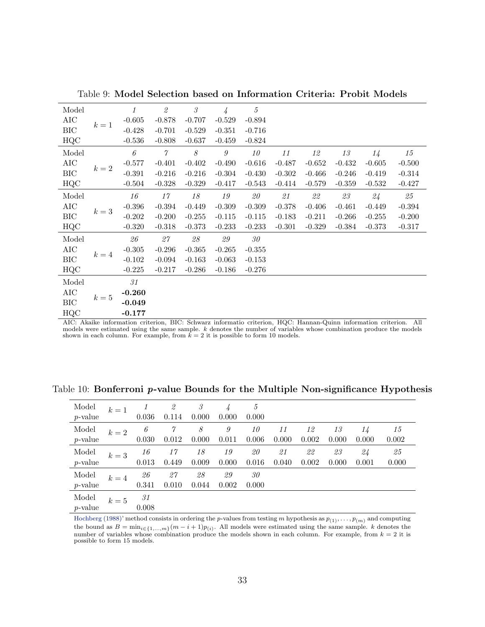<span id="page-32-0"></span>

| Model      |              | 1                                   | $\mathcal{Q}% _{M_{1},M_{2}}^{\alpha,\beta}(\varepsilon)$ | $\mathcal S$             | $\frac{1}{4}$    | $\boldsymbol{5}$                                                                                                                                                                                                                      |          |          |             |                                                                                                                                                                                                                                                                                                                                               |          |
|------------|--------------|-------------------------------------|-----------------------------------------------------------|--------------------------|------------------|---------------------------------------------------------------------------------------------------------------------------------------------------------------------------------------------------------------------------------------|----------|----------|-------------|-----------------------------------------------------------------------------------------------------------------------------------------------------------------------------------------------------------------------------------------------------------------------------------------------------------------------------------------------|----------|
| AIC        |              | $-0.605$                            | $-0.878$                                                  | $-0.707$                 | $-0.529$         | $-0.894$                                                                                                                                                                                                                              |          |          |             |                                                                                                                                                                                                                                                                                                                                               |          |
| <b>BIC</b> | $k=1$        | $-0.428$                            | $-0.701$                                                  | $-0.529$                 | $-0.351$         | $-0.716$                                                                                                                                                                                                                              |          |          |             |                                                                                                                                                                                                                                                                                                                                               |          |
| HQC        |              | $-0.536$                            | $-0.808$                                                  | $-0.637$                 | $-0.459$         | $-0.824$                                                                                                                                                                                                                              |          |          |             |                                                                                                                                                                                                                                                                                                                                               |          |
| Model      |              | $\boldsymbol{\mathit{6}}$           | $\gamma$                                                  | $\mathcal S$             | $\boldsymbol{g}$ | $10\,$                                                                                                                                                                                                                                | $11\,$   | 12       | $1\sqrt{3}$ | 14                                                                                                                                                                                                                                                                                                                                            | $15\,$   |
| AIC        |              | $-0.577$                            | $-0.401$                                                  | $-0.402$                 | $-0.490$         | $-0.616$                                                                                                                                                                                                                              | $-0.487$ | $-0.652$ | $-0.432$    | $-0.605$                                                                                                                                                                                                                                                                                                                                      | $-0.500$ |
| BIC        | $k=2$        | $-0.391$                            | $-0.216$                                                  | $-0.216$                 | $-0.304$         | $-0.430$                                                                                                                                                                                                                              | $-0.302$ | $-0.466$ | $-0.246$    | $-0.419$                                                                                                                                                                                                                                                                                                                                      | $-0.314$ |
| HQC        |              | $-0.504$                            | $-0.328$                                                  | $-0.329$                 | $-0.417$         | $-0.543$                                                                                                                                                                                                                              | $-0.414$ | $-0.579$ | $-0.359$    | $-0.532$                                                                                                                                                                                                                                                                                                                                      | $-0.427$ |
| Model      |              | 16                                  | 17                                                        | 18                       | 19               | $\it 20$                                                                                                                                                                                                                              | 21       | 22       | $2\beta$    | 24                                                                                                                                                                                                                                                                                                                                            | 25       |
| AIC        |              | $-0.396$                            | $-0.394$                                                  | $-0.449$                 | $-0.309$         | $-0.309$                                                                                                                                                                                                                              | $-0.378$ | $-0.406$ | $-0.461$    | $-0.449$                                                                                                                                                                                                                                                                                                                                      | $-0.394$ |
| <b>BIC</b> | $k=3$        | $-0.202$                            | $-0.200$                                                  | $-0.255$                 | $-0.115$         | $-0.115$                                                                                                                                                                                                                              | $-0.183$ | $-0.211$ | $-0.266$    | $-0.255$                                                                                                                                                                                                                                                                                                                                      | $-0.200$ |
| HQC        |              | $-0.320$                            | $-0.318$                                                  | $-0.373$                 | $-0.233$         | $-0.233$                                                                                                                                                                                                                              | $-0.301$ | $-0.329$ | $-0.384$    | $-0.373$                                                                                                                                                                                                                                                                                                                                      | $-0.317$ |
| Model      |              | 26                                  | $\mathcal{Z}\mathcal{T}$                                  | $\mathcal{Q}\mathcal{S}$ | $\it{29}$        | $30\,$                                                                                                                                                                                                                                |          |          |             |                                                                                                                                                                                                                                                                                                                                               |          |
| AIC        |              | $-0.305$                            | $-0.296$                                                  | $-0.365$                 | $-0.265$         | $-0.355$                                                                                                                                                                                                                              |          |          |             |                                                                                                                                                                                                                                                                                                                                               |          |
| $\rm BIC$  | $k=4$        | $-0.102$                            | $-0.094$                                                  | $-0.163$                 | $-0.063$         | $-0.153$                                                                                                                                                                                                                              |          |          |             |                                                                                                                                                                                                                                                                                                                                               |          |
| HQC        |              | $-0.225$                            | $-0.217$                                                  | $-0.286$                 | $-0.186$         | $-0.276$                                                                                                                                                                                                                              |          |          |             |                                                                                                                                                                                                                                                                                                                                               |          |
| Model      |              | $\it 31$                            |                                                           |                          |                  |                                                                                                                                                                                                                                       |          |          |             |                                                                                                                                                                                                                                                                                                                                               |          |
| AIC        |              | $-0.260$                            |                                                           |                          |                  |                                                                                                                                                                                                                                       |          |          |             |                                                                                                                                                                                                                                                                                                                                               |          |
| BIC        | $k=5$        | $-0.049$                            |                                                           |                          |                  |                                                                                                                                                                                                                                       |          |          |             |                                                                                                                                                                                                                                                                                                                                               |          |
| HQC        |              | $-0.177$                            |                                                           |                          |                  |                                                                                                                                                                                                                                       |          |          |             |                                                                                                                                                                                                                                                                                                                                               |          |
|            | $ATC = A11C$ | and a company of the company of the |                                                           | DTC. C.L.                |                  | $\mathbf{r}$ . $\mathbf{r}$ , and a set of the set of the set of the set of the set of the set of the set of the set of the set of the set of the set of the set of the set of the set of the set of the set of the set of the set of |          |          |             | $HOM$ , $H_{1}$ , $\ldots$ , $Q_{n}$ , $\ldots$ , $L_{n}$ , $\ldots$ , $L_{n}$ , $\ldots$ , $\ldots$ , $\ldots$ , $\ldots$ , $\ldots$ , $\ldots$ , $\ldots$ , $\ldots$ , $\ldots$ , $\ldots$ , $\ldots$ , $\ldots$ , $\ldots$ , $\ldots$ , $\ldots$ , $\ldots$ , $\ldots$ , $\ldots$ , $\ldots$ , $\ldots$ , $\ldots$ , $\ldots$ , $\ldots$ , | A 11     |

Table 9: Model Selection based on Information Criteria: Probit Models

AIC: Akaike information criterion, BIC: Schwarz informatio criterion, HQC: Hannan-Quinn information criterion. All models were estimated using the same sample. k denotes the number of variables whose combination produce the models shown in each column. For example, from  $k = 2$  it is possible to form 10 models.

| Model<br>$p$ -value | $k=1$ | 0.036       | 2<br>0.114  | 3<br>0.000  | 4<br>0.000  | 5<br>0.000  |             |             |             |             |             |
|---------------------|-------|-------------|-------------|-------------|-------------|-------------|-------------|-------------|-------------|-------------|-------------|
| Model<br>$p$ -value | $k=2$ | 6<br>0.030  | 7<br>0.012  | 8<br>0.000  | 9<br>0.011  | 10<br>0.006 | 11<br>0.000 | 12<br>0.002 | 13<br>0.000 | 14<br>0.000 | 15<br>0.002 |
| Model<br>$p$ -value | $k=3$ | 16<br>0.013 | 17<br>0.449 | 18<br>0.009 | 19<br>0.000 | 20<br>0.016 | 21<br>0.040 | 22<br>0.002 | 23<br>0.000 | 24<br>0.001 | 25<br>0.000 |
| Model<br>$p$ -value | $k=4$ | 26<br>0.341 | 27<br>0.010 | 28<br>0.044 | 29<br>0.002 | 30<br>0.000 |             |             |             |             |             |
| Model<br>$p$ -value | $k=5$ | 31<br>0.008 |             |             |             |             |             |             |             |             |             |

Table 10: Bonferroni p-value Bounds for the Multiple Non-significance Hypothesis

[Hochberg \(1988\)'](#page-16-0) method consists in ordering the p-values from testing m hypothesis as  $p_{(1)}, \ldots, p_{(m)}$  and computing the bound as  $B = \min_{i \in \{1,...,m\}} (m - i + 1)p_{(i)}$ . All models were estimated using the same sample. k denotes the number of variables whose combination produce the models shown in each column. For example, from  $k = 2$  it is possible to form 15 models.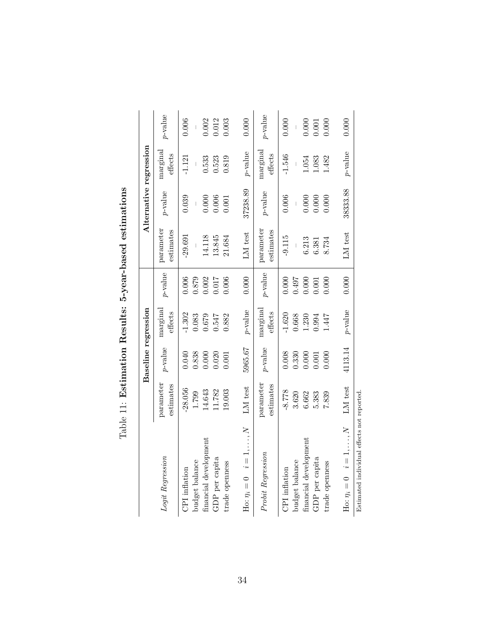<span id="page-33-0"></span>

|                                            |                        | Baseline regression |                     |                  |                        | Alternative regression |                                      |            |
|--------------------------------------------|------------------------|---------------------|---------------------|------------------|------------------------|------------------------|--------------------------------------|------------|
| Logit Regression                           | parameter<br>estimates | $p\text{-value}$    | marginal<br>effects | $p\text{-value}$ | parameter<br>estimates | $p$ -value             | $\operatorname{marginal}$<br>effects | $p$ -value |
| CPI inflation                              | -28.056                | 0.040               | $-1.302$            | 0.006            | $-29.691$              | 0.039                  | $-1.121$                             | 0.006      |
| financial development<br>budget balance    | 14.643<br>1.799        | 0.838<br>0.000      | 0.083<br>$0.679\,$  | 0.879<br>0.002   | 14.118                 | 0.000                  | 0.533                                | 0.002      |
| GDP per capita                             | 11.782                 | 0.020               | 0.547               | 1.017            | 13.845                 | 0.006                  | 0.523                                | 0.012      |
| trade openness                             | 19.003                 | 0.001               | 0.882               | 0.006            | 21.684                 | 0.001                  | 0.819                                | 0.003      |
| Ho: $\eta_i = 0$ $i = 1, \ldots, N$        | LM test                | 5965.67             | $p$ -value          | 0.000            | LM test                | 37238.89               | $p$ -value                           | 0.000      |
| Probit Regression                          | parameter<br>estimates | $p$ -value          | marginal<br>effects | $p$ -value       | parameter<br>estimates | $p$ -value             | marginal<br>effects                  | $p$ -value |
| CPI inflation                              | $-8.778$               | 0.008               | $-1.620$            | 0.000            | $-9.115$               | 0.006                  | $-1.546$                             | 0.000      |
| budget balance                             | 3.620                  | 0.330               | 0.668               | 10497            |                        |                        |                                      |            |
| financial development                      | 6.662                  | 0.000               | 1.230               | 0.000            | 6.213                  | 0.000                  | 1.054                                | 0.000      |
| GDP per capita                             | 5.383                  | 0.001               | 0.994               | 0.001            | 6.381                  | 0.000                  | 1.083                                | 0.001      |
| trade openness                             | 7.839                  | 0.000               | 1.447               | 0.000            | 8.734                  | 0.000                  | 1.482                                | 0.000      |
| Ho: $\eta_i = 0$ $i = 1, , N$              | LM test                | 4113.14             | $p$ -value          | 0.000            | LM test                | 38333.88               | $p$ -value                           | 0.000      |
| Estimated individual effects not reported. |                        |                     |                     |                  |                        |                        |                                      |            |

Table 11: Estimation Results: 5-year-based estimations Table 11: Estimation Results: 5-year-based estimations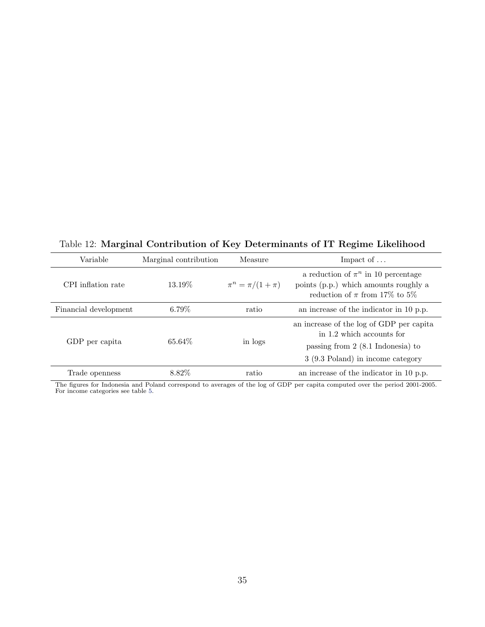<span id="page-34-0"></span>Table 12: Marginal Contribution of Key Determinants of IT Regime Likelihood

| Variable              | Marginal contribution | Measure                 | Impact of $\dots$                                                                                                                                         |
|-----------------------|-----------------------|-------------------------|-----------------------------------------------------------------------------------------------------------------------------------------------------------|
| CPI inflation rate    | 13.19\%               | $\pi^n = \pi/(1 + \pi)$ | a reduction of $\pi^n$ in 10 percentage<br>points (p.p.) which amounts roughly a<br>reduction of $\pi$ from 17% to 5%                                     |
| Financial development | $6.79\%$              | ratio                   | an increase of the indicator in 10 p.p.                                                                                                                   |
| GDP per capita        | 65.64\%               | in logs                 | an increase of the log of GDP per capital<br>in 1.2 which accounts for<br>passing from $2(8.1 \text{ Indonesia})$ to<br>3 (9.3 Poland) in income category |
| Trade openness        | 8.82\%                | ratio                   | an increase of the indicator in 10 p.p.                                                                                                                   |

The figures for Indonesia and Poland correspond to averages of the log of GDP per capita computed over the period 2001-2005. For income categories see table [5.](#page-30-0)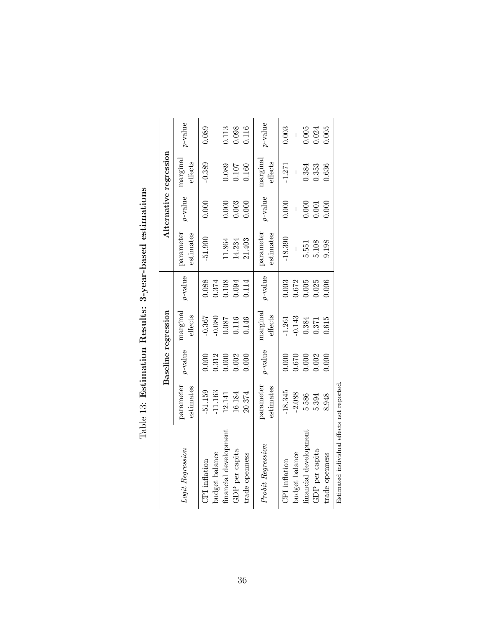<span id="page-35-0"></span>

| p-value<br>$p$ -value<br>0.312<br>0.000<br>0.002<br>0.000<br>0.000<br>0.000<br>parameter<br>parameter<br>estimates<br>estimates<br>-51.159<br>$-11.163$<br>$-18.345$<br>20.374<br>12.141<br>16.184<br>financial development<br>Probit Regression<br>Logit Regression<br>GDP per capita<br>budget balance<br>trade openness<br>CPI inflation<br>CPI inflation | marginal<br>effects<br>$-0.367$<br>$-0.080$<br>0.146<br>0.087<br>0.116 | $p$ -value<br>0.088<br>0.108<br>0.374<br>0.094 | parameter<br>estimates<br>$-51.900$<br>11.864<br>14.234 | $p$ -value<br>0.000<br>0.003<br>0.000<br>$\begin{array}{c} \end{array}$ | marginal<br>effects<br>$-0.389$ |            |
|--------------------------------------------------------------------------------------------------------------------------------------------------------------------------------------------------------------------------------------------------------------------------------------------------------------------------------------------------------------|------------------------------------------------------------------------|------------------------------------------------|---------------------------------------------------------|-------------------------------------------------------------------------|---------------------------------|------------|
|                                                                                                                                                                                                                                                                                                                                                              |                                                                        |                                                |                                                         |                                                                         |                                 | $p$ -value |
|                                                                                                                                                                                                                                                                                                                                                              |                                                                        |                                                |                                                         |                                                                         |                                 | 0.089      |
|                                                                                                                                                                                                                                                                                                                                                              |                                                                        |                                                |                                                         |                                                                         |                                 |            |
|                                                                                                                                                                                                                                                                                                                                                              |                                                                        |                                                |                                                         |                                                                         | 0.089                           | 0.113      |
|                                                                                                                                                                                                                                                                                                                                                              |                                                                        |                                                |                                                         |                                                                         | 0.107                           | 0.098      |
|                                                                                                                                                                                                                                                                                                                                                              |                                                                        | 0.114                                          | 21.403                                                  | 0.000                                                                   | 0.160                           | 0.116      |
|                                                                                                                                                                                                                                                                                                                                                              | marginal<br>${\rm effect}$                                             | $p$ -value                                     | parameter<br>estimates                                  | $p$ -value                                                              | marginal<br>effects             | $p$ -value |
|                                                                                                                                                                                                                                                                                                                                                              | $-1.261$                                                               | 0.003                                          | $-18.390$                                               | 0.000                                                                   | $-1.271$                        | 0.003      |
| 0.670<br>$-2.088$<br>budget balance                                                                                                                                                                                                                                                                                                                          | $-0.143$                                                               | 0.672                                          |                                                         |                                                                         |                                 |            |
| 0.000<br>5.586<br>financial development                                                                                                                                                                                                                                                                                                                      | 0.384                                                                  | 0.005                                          | 5.551                                                   | 0.000                                                                   | 0.384                           | 0.005      |
| 0.002<br>5.394<br>GDP per capita                                                                                                                                                                                                                                                                                                                             | 0.371                                                                  | 0.025                                          | $5.108$                                                 | 0.001                                                                   | 0.353                           | 0.24       |
| 0.000<br>8.948<br>trade openness                                                                                                                                                                                                                                                                                                                             | 0.615                                                                  | 0.006                                          | 9.198                                                   | 0.000                                                                   | 0.636                           | 0.005      |

| ׇ֚֕֡<br> <br> <br>ג                                              |
|------------------------------------------------------------------|
| baaan as:<br>יש<br>ג<br><b>Tuddhi</b><br> <br> }                 |
| )<br> <br>                                                       |
| $ \frac{1}{2}$ tion Recultor 2.<br>י<br>וי<br>ג<br>$\frac{1}{2}$ |
| )<br>1<br>l<br>$\overline{\phantom{a}}$                          |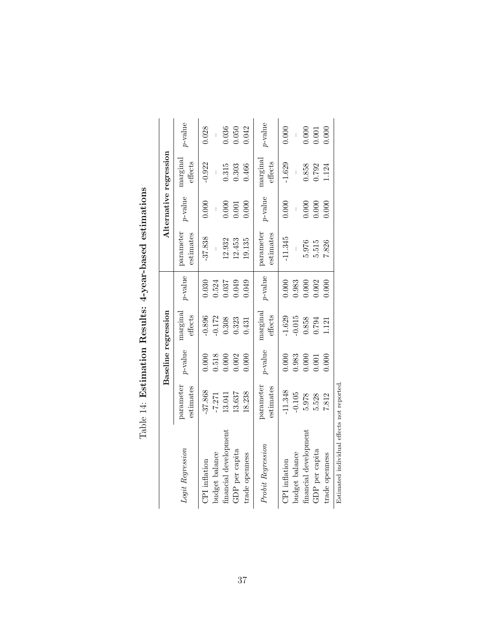<span id="page-36-0"></span>

|                                           |                        |            | Baseline regression |            |                        |            | Alternative regression |            |
|-------------------------------------------|------------------------|------------|---------------------|------------|------------------------|------------|------------------------|------------|
| Logit Regression                          | parameter<br>estimates | $p$ -value | marginal<br>effects | $p$ -value | parameter<br>estimates | $p$ -value | marginal<br>effects    | $p$ -value |
| CPI inflation                             | -37.868                | 000.       | 0.896               | 0.030      | $-37.838$              | 0.000      | $-0.922$               | 0.028      |
| budget balance                            | $-7.271$               | 0.518      | $-0.172$            | 0.524      |                        |            |                        |            |
| financial development                     | 13.041                 | 0.000      | 0.308               | 0.037      | 12.932                 | 0.000      | 0.315                  | 0.036      |
| GDP per capita                            | 13.637                 | 0.002      | 0.323               | 0.049      | 12.453                 | 0.001      | 0.303                  | 0.050      |
| trade openness                            | 18.238                 | 0.000      | 0.431               | 0.049      | 19.135                 | 0.000      | 0.466                  | 0.042      |
| Probit Regression                         | parameter<br>estimates | $p$ -value | marginal<br>effects | $p$ -value | parameter<br>estimates | $p$ -value | marginal<br>effects    | $p$ -value |
| CPI inflation                             | $-11.348$              | 0.000      | $-1.629$            | 0.000      | $-11.345$              | 0.000      | $-1.629$               | 0.000      |
| budget balance                            | $-0.105$               | 0.983      | $-0.015$            | 0.983      |                        |            |                        |            |
| financial development                     | 5.978                  | 0.000      | 0.858               | 0.000      | 5.976                  | 0.000      | 0.858                  | 0.000      |
| GDP per capita                            | 5.528                  | 0.001      | 0.794               | 0.002      | 5.515                  | 0.000      | 0.792                  | 1.001      |
| trade openness                            | 7.812                  | 0.000      | 1.121               | 0.000      | 7.826                  | 0.000      | 1.124                  | 0.000      |
| Estimated individual effects not reported |                        |            |                     |            |                        |            |                        |            |

| くらくし<br>i<br>Sistema<br>Sistema<br>ׇ֚֘֝֬<br>Ĭ.                                                                                         |  |
|----------------------------------------------------------------------------------------------------------------------------------------|--|
| non hoor<br>֧֧֧֧֧֧֧֧ׅ֧֧֧ׅ֧ׅ֧֧֧֧֧֧֧֧֛֛֚֚֚֚֚֚֚֚֚֚֚֚֚֚֚֚֚֚֚֝֝֓֕֝֓֝֓֝֓֝֓֜֝֬֝֓֝֓֜֜֝֬֝֬֜֜֜֓֝֬֝֬֝֬֜֝֬֝֬֜<br>!<br>$\overline{\mathbf{u}}$<br>I |  |
| .<br>C+IFCCY<br>ׇ֚֓֡<br>ſ                                                                                                              |  |
| i<br>ׇ֚֚֕֕<br>.<br>I                                                                                                                   |  |
| l<br>$\mathfrak{k}$                                                                                                                    |  |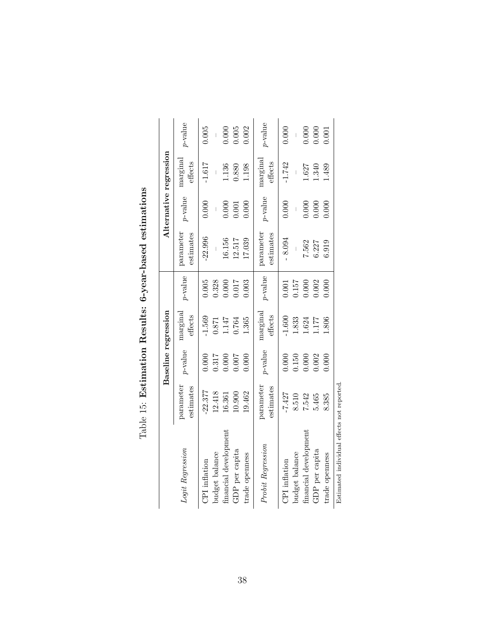<span id="page-37-0"></span>

|                                            |                        |            | Baseline regression |            |                          |            | Alternative regression |            |
|--------------------------------------------|------------------------|------------|---------------------|------------|--------------------------|------------|------------------------|------------|
| Logit Regression                           | parameter<br>estimates | $p$ -value | marginal<br>effects | $p$ -value | parameter<br>estimates   | $p$ -value | marginal<br>effects    | $p$ -value |
| CPI inflation                              | $-22.377$              | 0.000      | $-1.569$            | 0.005      | $-22.996$                | 0.000      | $-1.617$               | 0.005      |
| budget balance                             | 12.418                 | 0.317      | $0.871\,$           | 0.328      | $\overline{\phantom{a}}$ |            |                        |            |
| financial development                      | 16.361                 | 0.000      | 1.147               | 0.000      | 16.156                   | 0.000      | 1.136                  | 0.000      |
| GDP per capita                             | 10.900                 | 1.007      | 0.764               | 0.017      | 12.517                   | 0.001      | 0.880                  | 0.005      |
| trade openness                             | 19.462                 | 0.000      | 1.365               | 0.003      | 17.039                   | 0.000      | 1.198                  | 0.002      |
| Probit Regression                          | parameter<br>estimates | $p$ -value | marginal<br>effects | $p$ -value | parameter<br>estimates   | $p$ -value | marginal<br>effects    | p-value    |
| CPI inflation                              | $-7.427$               | 0.000      | $-1.600$            | 0.001      | $-8.094$                 | 0.000      | $-1.742$               | 0.000      |
| budget balance                             | 8.510                  | 0.150      | 1.833               | 0.157      |                          |            |                        |            |
| financial development                      | 7.542                  | 0.000      | 1.624               | 0.000      | 7.562                    | 0.000      | 1.627                  | 0.000      |
| GDP per capita                             | 5.465                  | 0.002      | 1.177               | 0.002      | 6.227                    | 0.000      | 1.340                  | 0.000      |
| trade openness                             | 8.385                  | 0.000      | 1.806               | 0.000      | 6.919                    | 0.000      | 1.489                  | 1.001      |
| Estimated individual effects not reported. |                        |            |                     |            |                          |            |                        |            |

| 6-year-based estimations        |
|---------------------------------|
| -<br>-<br>-<br>-<br>)<br>}<br>I |
| sey unitudi<br>ŗ                |
| .<br>`<br>1<br>I                |